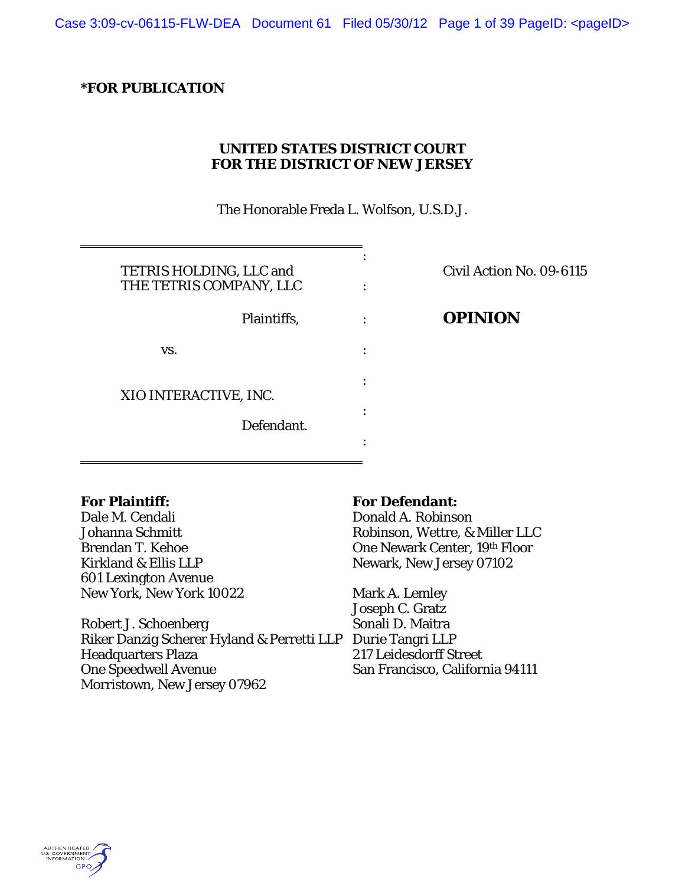Case 3:09-cv-06115-FLW-DEA Document 61 Filed 05/30/12 Page 1 of 39 PageID: <pageID>

### **\*FOR PUBLICATION**

# **UNITED STATES DISTRICT COURT FOR THE DISTRICT OF NEW JERSEY**

The Honorable Freda L. Wolfson, U.S.D.J.

| TETRIS HOLDING, LLC and |  |
|-------------------------|--|
| THE TETRIS COMPANY, LLC |  |
| Plaintiffs,             |  |
| VS.                     |  |
| XIO INTERACTIVE, INC.   |  |
| Defendant.              |  |
|                         |  |

## Civil Action No. 09-6115

# Plaintiffs, : **OPINION**

#### **For Plaintiff:**

Dale M. Cendali Johanna Schmitt Brendan T. Kehoe Kirkland & Ellis LLP 601 Lexington Avenue New York, New York 10022

Robert J. Schoenberg Riker Danzig Scherer Hyland & Perretti LLP Durie Tangri LLP Headquarters Plaza One Speedwell Avenue Morristown, New Jersey 07962

#### **For Defendant:**

Donald A. Robinson Robinson, Wettre, & Miller LLC One Newark Center, 19th Floor Newark, New Jersey 07102

Mark A. Lemley Joseph C. Gratz Sonali D. Maitra 217 Leidesdorff Street San Francisco, California 94111

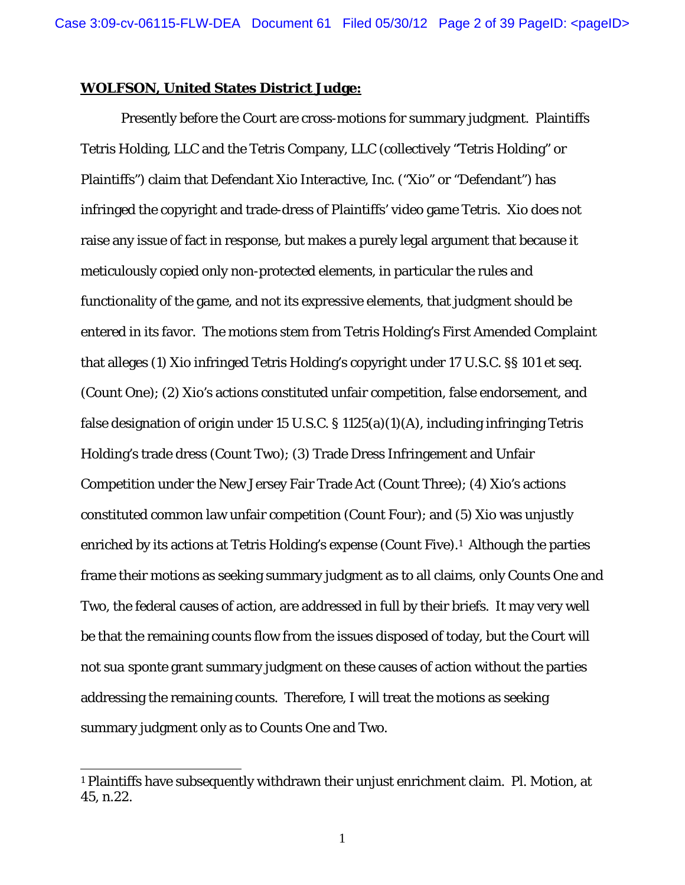#### **WOLFSON, United States District Judge:**

 Presently before the Court are cross-motions for summary judgment. Plaintiffs Tetris Holding, LLC and the Tetris Company, LLC (collectively "Tetris Holding" or Plaintiffs") claim that Defendant Xio Interactive, Inc. ("Xio" or "Defendant") has infringed the copyright and trade-dress of Plaintiffs' video game *Tetris*. Xio does not raise any issue of fact in response, but makes a purely legal argument that because it meticulously copied only non-protected elements, in particular the rules and functionality of the game, and not its expressive elements, that judgment should be entered in its favor. The motions stem from Tetris Holding's First Amended Complaint that alleges (1) Xio infringed Tetris Holding's copyright under 17 U.S.C. §§ 101 et seq. (Count One); (2) Xio's actions constituted unfair competition, false endorsement, and false designation of origin under 15 U.S.C. § 1125(a)(1)(A), including infringing Tetris Holding's trade dress (Count Two); (3) Trade Dress Infringement and Unfair Competition under the New Jersey Fair Trade Act (Count Three); (4) Xio's actions constituted common law unfair competition (Count Four); and (5) Xio was unjustly enriched by its actions at Tetris Holding's expense (Count Five).<sup>1</sup> Although the parties frame their motions as seeking summary judgment as to all claims, only Counts One and Two, the federal causes of action, are addressed in full by their briefs. It may very well be that the remaining counts flow from the issues disposed of today, but the Court will not *sua sponte* grant summary judgment on these causes of action without the parties addressing the remaining counts. Therefore, I will treat the motions as seeking summary judgment only as to Counts One and Two.

<sup>1</sup> Plaintiffs have subsequently withdrawn their unjust enrichment claim. Pl. Motion, at 45, n.22.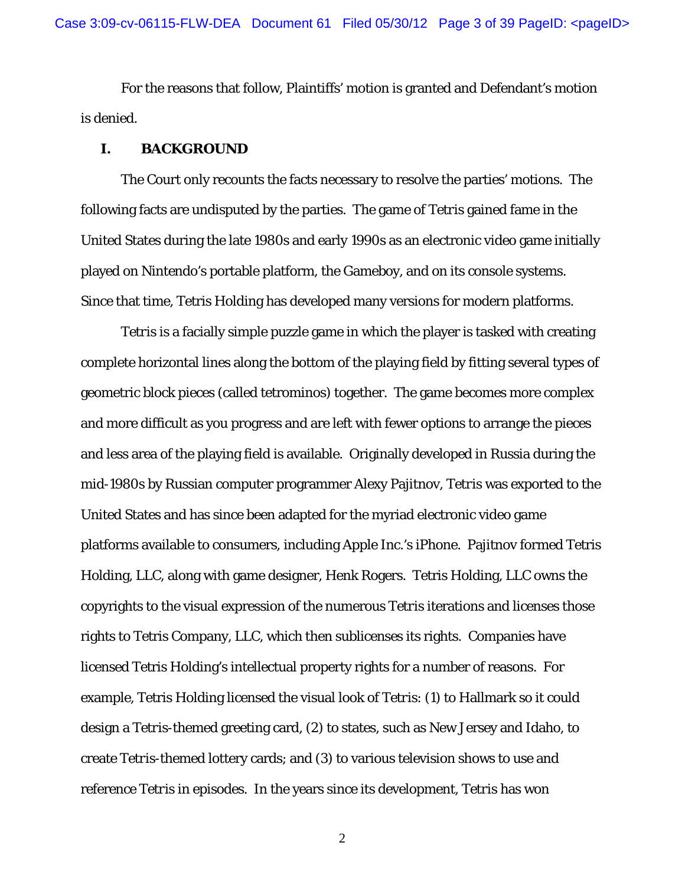For the reasons that follow, Plaintiffs' motion is granted and Defendant's motion is denied.

### **I. BACKGROUND**

The Court only recounts the facts necessary to resolve the parties' motions. The following facts are undisputed by the parties. The game of *Tetris* gained fame in the United States during the late 1980s and early 1990s as an electronic video game initially played on Nintendo's portable platform, the Gameboy, and on its console systems. Since that time, Tetris Holding has developed many versions for modern platforms.

*Tetris* is a facially simple puzzle game in which the player is tasked with creating complete horizontal lines along the bottom of the playing field by fitting several types of geometric block pieces (called tetrominos) together. The game becomes more complex and more difficult as you progress and are left with fewer options to arrange the pieces and less area of the playing field is available. Originally developed in Russia during the mid-1980s by Russian computer programmer Alexy Pajitnov, *Tetris* was exported to the United States and has since been adapted for the myriad electronic video game platforms available to consumers, including Apple Inc.'s iPhone. Pajitnov formed Tetris Holding, LLC, along with game designer, Henk Rogers. Tetris Holding, LLC owns the copyrights to the visual expression of the numerous *Tetris* iterations and licenses those rights to Tetris Company, LLC, which then sublicenses its rights. Companies have licensed Tetris Holding's intellectual property rights for a number of reasons. For example, Tetris Holding licensed the visual look of *Tetris*: (1) to Hallmark so it could design a *Tetris*-themed greeting card, (2) to states, such as New Jersey and Idaho, to create *Tetris*-themed lottery cards; and (3) to various television shows to use and reference *Tetris* in episodes. In the years since its development, *Tetris* has won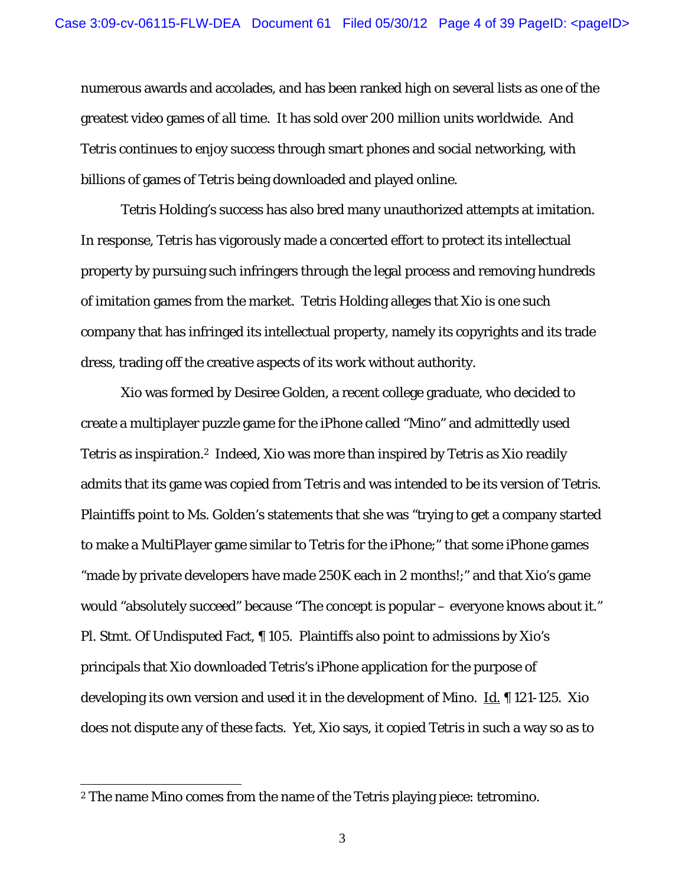numerous awards and accolades, and has been ranked high on several lists as one of the greatest video games of all time. It has sold over 200 million units worldwide. And *Tetris* continues to enjoy success through smart phones and social networking, with billions of games of *Tetris* being downloaded and played online.

Tetris Holding's success has also bred many unauthorized attempts at imitation. In response, *Tetris* has vigorously made a concerted effort to protect its intellectual property by pursuing such infringers through the legal process and removing hundreds of imitation games from the market. Tetris Holding alleges that Xio is one such company that has infringed its intellectual property, namely its copyrights and its trade dress, trading off the creative aspects of its work without authority.

Xio was formed by Desiree Golden, a recent college graduate, who decided to create a multiplayer puzzle game for the iPhone called "*Mino*" and admittedly used *Tetris* as inspiration.2 Indeed, Xio was more than inspired by *Tetris* as Xio readily admits that its game was copied from *Tetris* and was intended to be its version of *Tetris*. Plaintiffs point to Ms. Golden's statements that she was "trying to get a company started to make a MultiPlayer game similar to Tetris for the iPhone;" that some iPhone games "made by private developers have made 250K each in 2 months!;" and that Xio's game would "absolutely succeed" because "The concept is popular – everyone knows about it." Pl. Stmt. Of Undisputed Fact, ¶ 105. Plaintiffs also point to admissions by Xio's principals that Xio downloaded Tetris's iPhone application for the purpose of developing its own version and used it in the development of *Mino.* Id. ¶ 121-125. Xio does not dispute any of these facts. Yet, Xio says, it copied *Tetris* in such a way so as to

<sup>2</sup> The name *Mino* comes from the name of the Tetris playing piece: tetromino.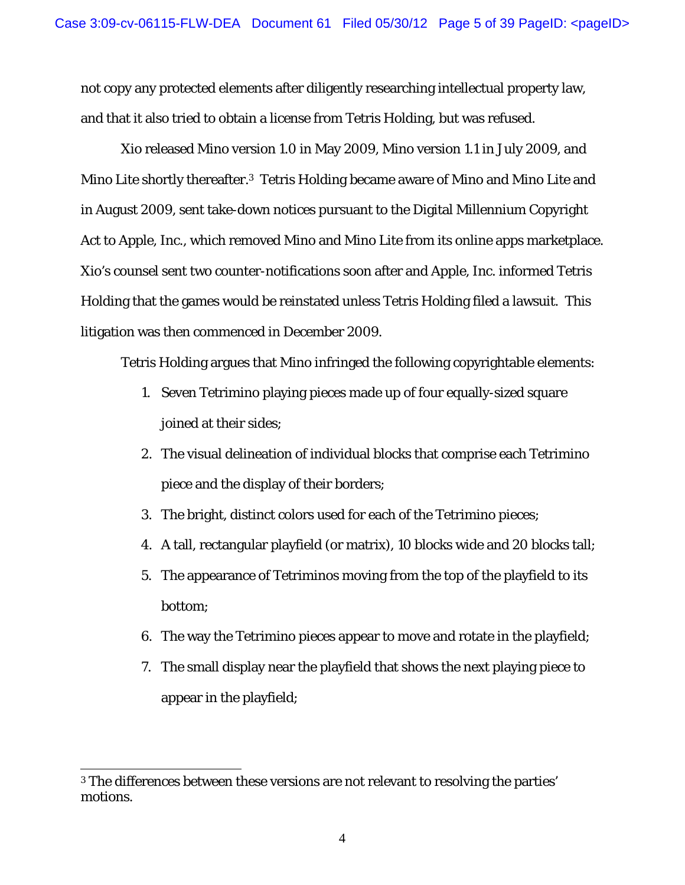not copy any protected elements after diligently researching intellectual property law, and that it also tried to obtain a license from Tetris Holding, but was refused.

Xio released *Mino* version 1.0 in May 2009, *Mino* version 1.1 in July 2009, and *Mino Lite* shortly thereafter.3 Tetris Holding became aware of *Mino* and *Mino Lite* and in August 2009, sent take-down notices pursuant to the Digital Millennium Copyright Act to Apple, Inc., which removed *Mino* and *Mino Lite* from its online apps marketplace. Xio's counsel sent two counter-notifications soon after and Apple, Inc. informed Tetris Holding that the games would be reinstated unless Tetris Holding filed a lawsuit. This litigation was then commenced in December 2009.

Tetris Holding argues that *Mino* infringed the following copyrightable elements:

- 1. Seven Tetrimino playing pieces made up of four equally-sized square joined at their sides;
- 2. The visual delineation of individual blocks that comprise each Tetrimino piece and the display of their borders;
- 3. The bright, distinct colors used for each of the Tetrimino pieces;
- 4. A tall, rectangular playfield (or matrix), 10 blocks wide and 20 blocks tall;
- 5. The appearance of Tetriminos moving from the top of the playfield to its bottom;
- 6. The way the Tetrimino pieces appear to move and rotate in the playfield;
- 7. The small display near the playfield that shows the next playing piece to appear in the playfield;

<sup>3</sup> The differences between these versions are not relevant to resolving the parties' motions.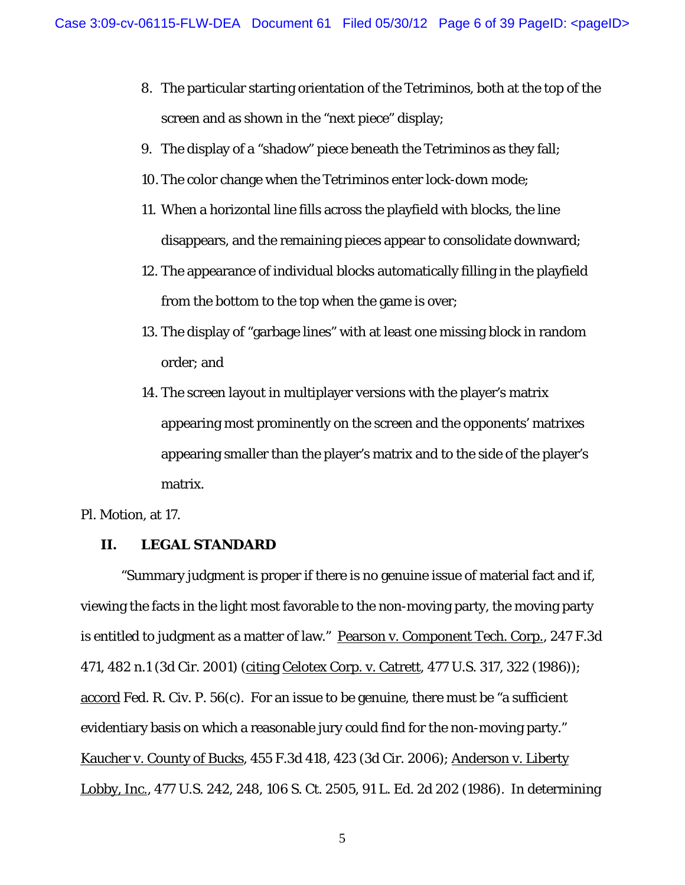- 8. The particular starting orientation of the Tetriminos, both at the top of the screen and as shown in the "next piece" display;
- 9. The display of a "shadow" piece beneath the Tetriminos as they fall;
- 10. The color change when the Tetriminos enter lock-down mode;
- 11. When a horizontal line fills across the playfield with blocks, the line disappears, and the remaining pieces appear to consolidate downward;
- 12. The appearance of individual blocks automatically filling in the playfield from the bottom to the top when the game is over;
- 13. The display of "garbage lines" with at least one missing block in random order; and
- 14. The screen layout in multiplayer versions with the player's matrix appearing most prominently on the screen and the opponents' matrixes appearing smaller than the player's matrix and to the side of the player's matrix.

Pl. Motion, at 17.

# **II. LEGAL STANDARD**

"Summary judgment is proper if there is no genuine issue of material fact and if, viewing the facts in the light most favorable to the non-moving party, the moving party is entitled to judgment as a matter of law." Pearson v. Component Tech. Corp., 247 F.3d 471, 482 n.1 (3d Cir. 2001) (citing Celotex Corp. v. Catrett, 477 U.S. 317, 322 (1986)); accord Fed. R. Civ. P. 56(c). For an issue to be genuine, there must be "a sufficient evidentiary basis on which a reasonable jury could find for the non-moving party." Kaucher v. County of Bucks, 455 F.3d 418, 423 (3d Cir. 2006); Anderson v. Liberty Lobby, Inc., 477 U.S. 242, 248, 106 S. Ct. 2505, 91 L. Ed. 2d 202 (1986). In determining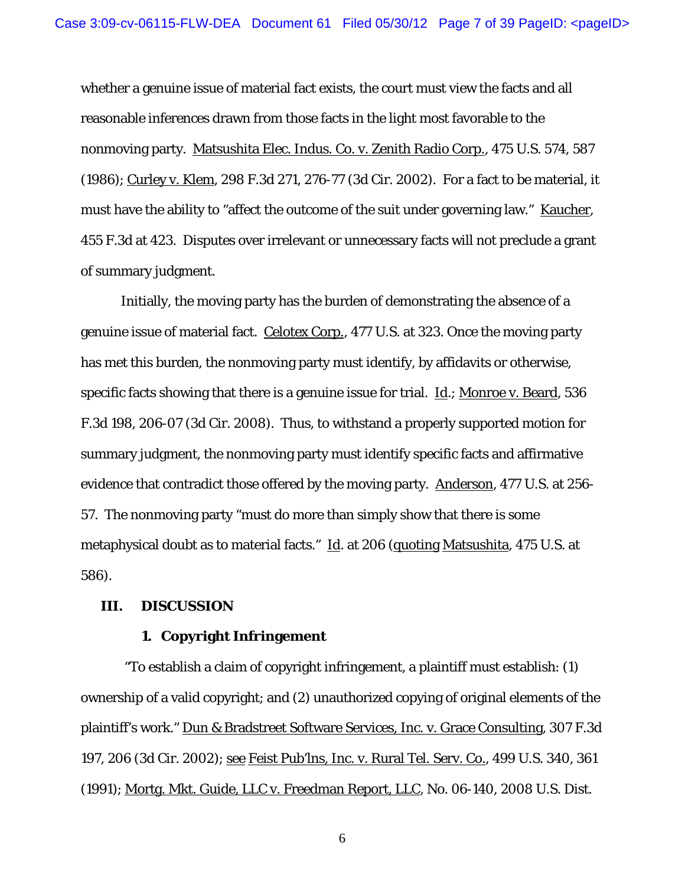whether a genuine issue of material fact exists, the court must view the facts and all reasonable inferences drawn from those facts in the light most favorable to the nonmoving party. Matsushita Elec. Indus. Co. v. Zenith Radio Corp., 475 U.S. 574, 587 (1986); Curley v. Klem, 298 F.3d 271, 276-77 (3d Cir. 2002). For a fact to be material, it must have the ability to "affect the outcome of the suit under governing law." Kaucher, 455 F.3d at 423. Disputes over irrelevant or unnecessary facts will not preclude a grant of summary judgment.

Initially, the moving party has the burden of demonstrating the absence of a genuine issue of material fact. Celotex Corp., 477 U.S. at 323. Once the moving party has met this burden, the nonmoving party must identify, by affidavits or otherwise, specific facts showing that there is a genuine issue for trial. Id.; Monroe v. Beard, 536 F.3d 198, 206-07 (3d Cir. 2008). Thus, to withstand a properly supported motion for summary judgment, the nonmoving party must identify specific facts and affirmative evidence that contradict those offered by the moving party. Anderson, 477 U.S. at 256- 57. The nonmoving party "must do more than simply show that there is some metaphysical doubt as to material facts." Id. at 206 (quoting Matsushita, 475 U.S. at 586).

#### **III. DISCUSSION**

#### **1. Copyright Infringement**

 "To establish a claim of copyright infringement, a plaintiff must establish: (1) ownership of a valid copyright; and (2) unauthorized copying of original elements of the plaintiff's work." Dun & Bradstreet Software Services, Inc. v. Grace Consulting, 307 F.3d 197, 206 (3d Cir. 2002); see Feist Pub'lns, Inc. v. Rural Tel. Serv. Co., 499 U.S. 340, 361 (1991); Mortg. Mkt. Guide, LLC v. Freedman Report, LLC, No. 06-140, 2008 U.S. Dist.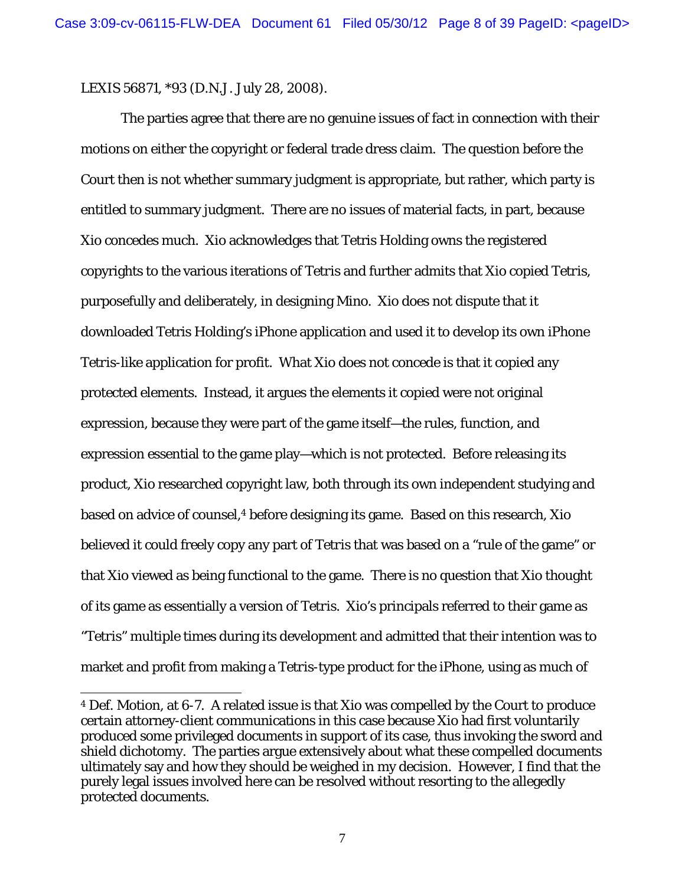LEXIS 56871, \*93 (D.N.J. July 28, 2008).

 $\overline{a}$ 

The parties agree that there are no genuine issues of fact in connection with their motions on either the copyright or federal trade dress claim. The question before the Court then is not whether summary judgment is appropriate, but rather, which party is entitled to summary judgment. There are no issues of material facts, in part, because Xio concedes much. Xio acknowledges that Tetris Holding owns the registered copyrights to the various iterations of *Tetris* and further admits that Xio copied *Tetris*, purposefully and deliberately, in designing *Mino*. Xio does not dispute that it downloaded Tetris Holding's iPhone application and used it to develop its own iPhone *Tetris*-like application for profit. What Xio does not concede is that it copied any protected elements. Instead, it argues the elements it copied were not original expression, because they were part of the game itself—the rules, function, and expression essential to the game play—which is not protected. Before releasing its product, Xio researched copyright law, both through its own independent studying and based on advice of counsel,<sup>4</sup> before designing its game. Based on this research, Xio believed it could freely copy any part of *Tetris* that was based on a "rule of the game" or that Xio viewed as being functional to the game. There is no question that Xio thought of its game as essentially a version of *Tetris*. Xio's principals referred to their game as "*Tetris*" multiple times during its development and admitted that their intention was to market and profit from making a *Tetris*-type product for the iPhone, using as much of

<sup>4</sup> Def. Motion, at 6-7. A related issue is that Xio was compelled by the Court to produce certain attorney-client communications in this case because Xio had first voluntarily produced some privileged documents in support of its case, thus invoking the sword and shield dichotomy. The parties argue extensively about what these compelled documents ultimately say and how they should be weighed in my decision. However, I find that the purely legal issues involved here can be resolved without resorting to the allegedly protected documents.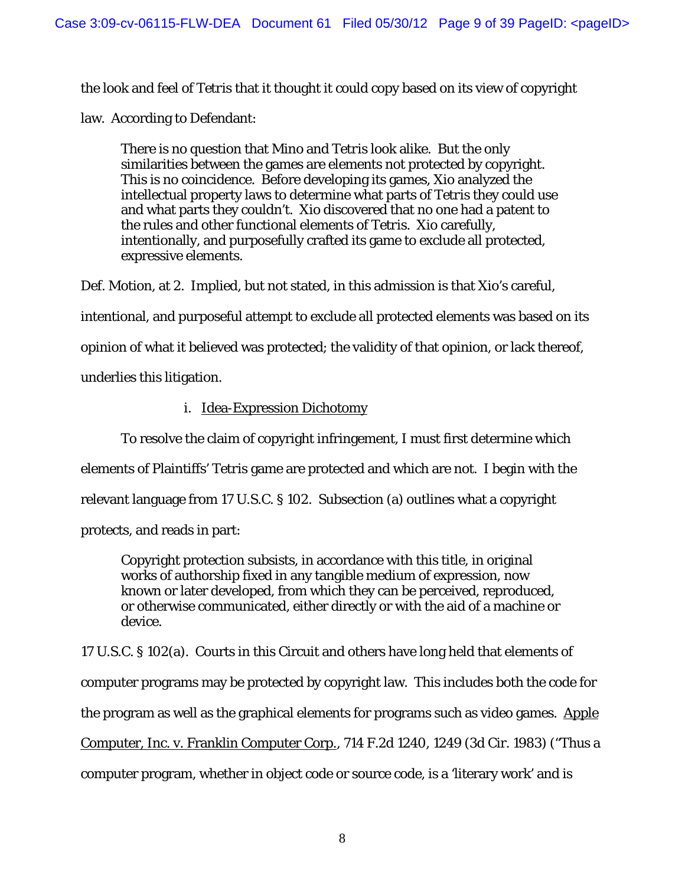the look and feel of *Tetris* that it thought it could copy based on its view of copyright

law. According to Defendant:

There is no question that *Mino* and *Tetris* look alike. But the only similarities between the games are elements not protected by copyright. This is no coincidence. Before developing its games, Xio analyzed the intellectual property laws to determine what parts of *Tetris* they could use and what parts they couldn't. Xio discovered that no one had a patent to the rules and other functional elements of *Tetris*. Xio carefully, intentionally, and purposefully crafted its game to exclude all protected, expressive elements.

Def. Motion, at 2. Implied, but not stated, in this admission is that Xio's careful, intentional, and purposeful attempt to exclude all protected elements was based on its opinion of what it believed was protected; the validity of that opinion, or lack thereof, underlies this litigation.

i. Idea-Expression Dichotomy

To resolve the claim of copyright infringement, I must first determine which elements of Plaintiffs' *Tetris* game are protected and which are not. I begin with the relevant language from 17 U.S.C. § 102. Subsection (a) outlines what a copyright protects, and reads in part:

Copyright protection subsists, in accordance with this title, in original works of authorship fixed in any tangible medium of expression, now known or later developed, from which they can be perceived, reproduced, or otherwise communicated, either directly or with the aid of a machine or device.

17 U.S.C. § 102(a). Courts in this Circuit and others have long held that elements of computer programs may be protected by copyright law. This includes both the code for the program as well as the graphical elements for programs such as video games. Apple Computer, Inc. v. Franklin Computer Corp., 714 F.2d 1240, 1249 (3d Cir. 1983) ("Thus a computer program, whether in object code or source code, is a 'literary work' and is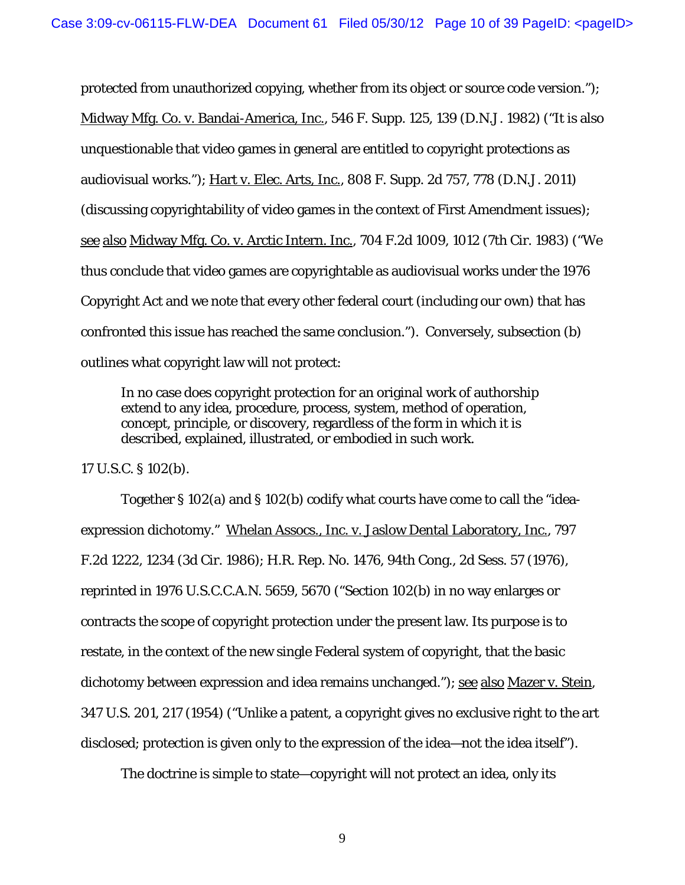protected from unauthorized copying, whether from its object or source code version."); Midway Mfg. Co. v. Bandai-America, Inc., 546 F. Supp. 125, 139 (D.N.J. 1982) ("It is also unquestionable that video games in general are entitled to copyright protections as audiovisual works."); Hart v. Elec. Arts, Inc., 808 F. Supp. 2d 757, 778 (D.N.J. 2011) (discussing copyrightability of video games in the context of First Amendment issues); see also Midway Mfg. Co. v. Arctic Intern. Inc., 704 F.2d 1009, 1012 (7th Cir. 1983) ("We thus conclude that video games are copyrightable as audiovisual works under the 1976 Copyright Act and we note that every other federal court (including our own) that has confronted this issue has reached the same conclusion."). Conversely, subsection (b) outlines what copyright law will not protect:

In no case does copyright protection for an original work of authorship extend to any idea, procedure, process, system, method of operation, concept, principle, or discovery, regardless of the form in which it is described, explained, illustrated, or embodied in such work.

17 U.S.C. § 102(b).

Together § 102(a) and § 102(b) codify what courts have come to call the "ideaexpression dichotomy." Whelan Assocs., Inc. v. Jaslow Dental Laboratory, Inc., 797 F.2d 1222, 1234 (3d Cir. 1986); H.R. Rep. No. 1476, 94th Cong., 2d Sess. 57 (1976), reprinted in 1976 U.S.C.C.A.N. 5659, 5670 ("Section 102(b) in no way enlarges or contracts the scope of copyright protection under the present law. Its purpose is to restate, in the context of the new single Federal system of copyright, that the basic dichotomy between expression and idea remains unchanged."); see also Mazer v. Stein, 347 U.S. 201, 217 (1954) ("Unlike a patent, a copyright gives no exclusive right to the art disclosed; protection is given only to the expression of the idea—not the idea itself").

The doctrine is simple to state—copyright will not protect an idea, only its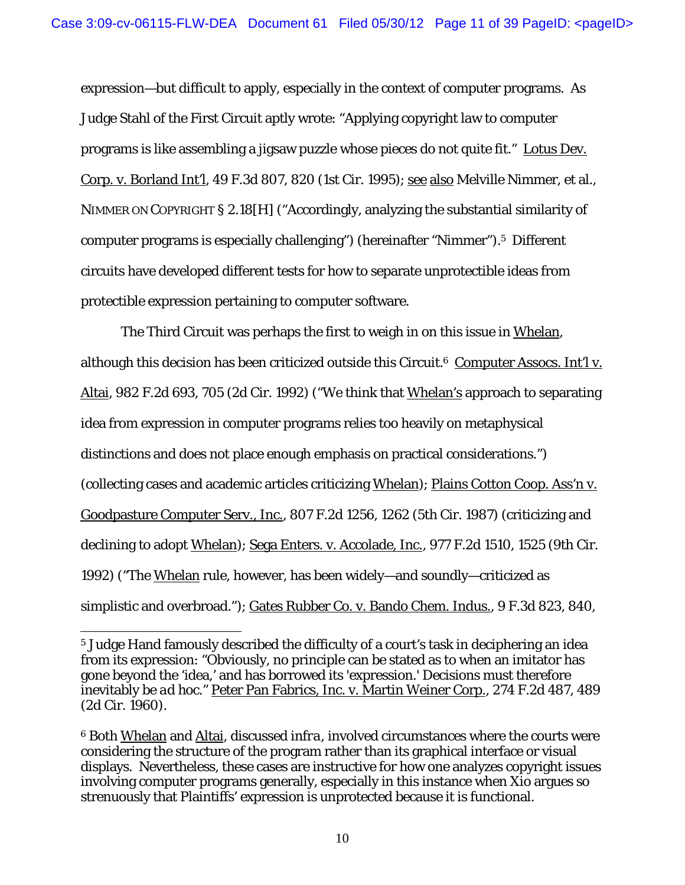expression—but difficult to apply, especially in the context of computer programs. As Judge Stahl of the First Circuit aptly wrote: "Applying copyright law to computer programs is like assembling a jigsaw puzzle whose pieces do not quite fit." Lotus Dev. Corp. v. Borland Int'l, 49 F.3d 807, 820 (1st Cir. 1995); see also Melville Nimmer, et al., NIMMER ON COPYRIGHT § 2.18[H] ("Accordingly, analyzing the substantial similarity of computer programs is especially challenging") (hereinafter "Nimmer").5 Different circuits have developed different tests for how to separate unprotectible ideas from protectible expression pertaining to computer software.

The Third Circuit was perhaps the first to weigh in on this issue in Whelan, although this decision has been criticized outside this Circuit.<sup>6</sup> Computer Assocs. Int'l v. Altai, 982 F.2d 693, 705 (2d Cir. 1992) ("We think that Whelan's approach to separating idea from expression in computer programs relies too heavily on metaphysical distinctions and does not place enough emphasis on practical considerations.") (collecting cases and academic articles criticizing Whelan); Plains Cotton Coop. Ass'n v. Goodpasture Computer Serv., Inc., 807 F.2d 1256, 1262 (5th Cir. 1987) (criticizing and declining to adopt Whelan); Sega Enters. v. Accolade, Inc., 977 F.2d 1510, 1525 (9th Cir. 1992) ("The Whelan rule, however, has been widely—and soundly—criticized as simplistic and overbroad."); Gates Rubber Co. v. Bando Chem. Indus., 9 F.3d 823, 840,

<sup>5</sup> Judge Hand famously described the difficulty of a court's task in deciphering an idea from its expression: "Obviously, no principle can be stated as to when an imitator has gone beyond the 'idea,' and has borrowed its 'expression.' Decisions must therefore inevitably be *ad hoc*." Peter Pan Fabrics, Inc. v. Martin Weiner Corp., 274 F.2d 487, 489 (2d Cir. 1960).

<sup>6</sup> Both Whelan and Altai, discussed *infra*, involved circumstances where the courts were considering the structure of the program rather than its graphical interface or visual displays. Nevertheless, these cases are instructive for how one analyzes copyright issues involving computer programs generally, especially in this instance when Xio argues so strenuously that Plaintiffs' expression is unprotected because it is functional.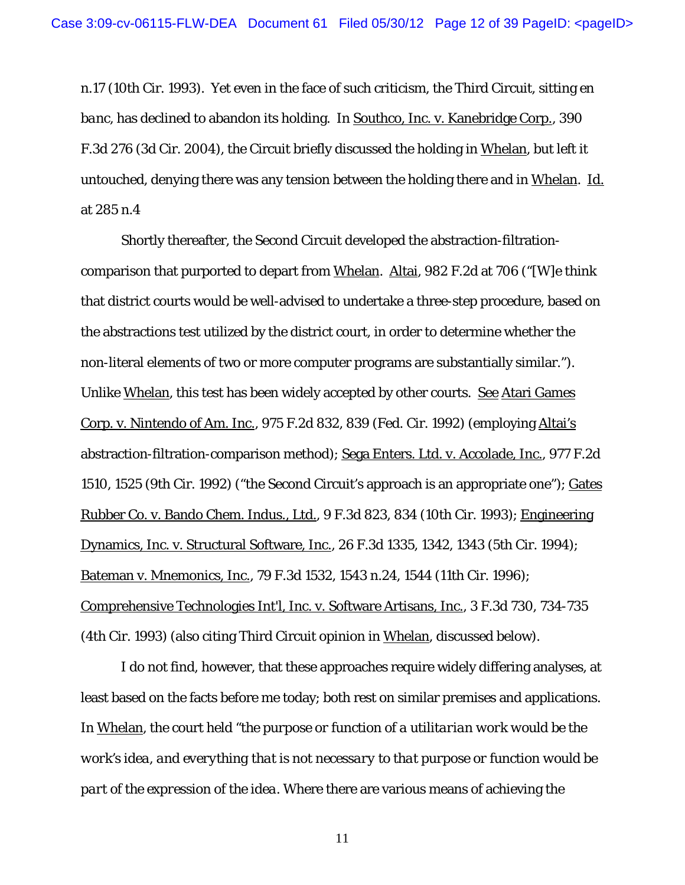n.17 (10th Cir. 1993). Yet even in the face of such criticism, the Third Circuit, sitting *en banc*, has declined to abandon its holding. In Southco, Inc. v. Kanebridge Corp., 390 F.3d 276 (3d Cir. 2004), the Circuit briefly discussed the holding in Whelan, but left it untouched, denying there was any tension between the holding there and in Whelan. Id. at 285 n.4

Shortly thereafter, the Second Circuit developed the abstraction-filtrationcomparison that purported to depart from Whelan. Altai, 982 F.2d at 706 ("[W]e think that district courts would be well-advised to undertake a three-step procedure, based on the abstractions test utilized by the district court, in order to determine whether the non-literal elements of two or more computer programs are substantially similar."). Unlike Whelan, this test has been widely accepted by other courts. See Atari Games Corp. v. Nintendo of Am. Inc., 975 F.2d 832, 839 (Fed. Cir. 1992) (employing Altai's abstraction-filtration-comparison method); Sega Enters. Ltd. v. Accolade, Inc., 977 F.2d 1510, 1525 (9th Cir. 1992) ("the Second Circuit's approach is an appropriate one"); Gates Rubber Co. v. Bando Chem. Indus., Ltd., 9 F.3d 823, 834 (10th Cir. 1993); Engineering Dynamics, Inc. v. Structural Software, Inc., 26 F.3d 1335, 1342, 1343 (5th Cir. 1994); Bateman v. Mnemonics, Inc., 79 F.3d 1532, 1543 n.24, 1544 (11th Cir. 1996); Comprehensive Technologies Int'l, Inc. v. Software Artisans, Inc., 3 F.3d 730, 734-735 (4th Cir. 1993) (also citing Third Circuit opinion in Whelan, discussed below).

I do not find, however, that these approaches require widely differing analyses, at least based on the facts before me today; both rest on similar premises and applications. In Whelan, the court held "*the purpose or function of a utilitarian work would be the work's idea, and everything that is not necessary to that purpose or function would be part of the expression of the idea*. Where there are various means of achieving the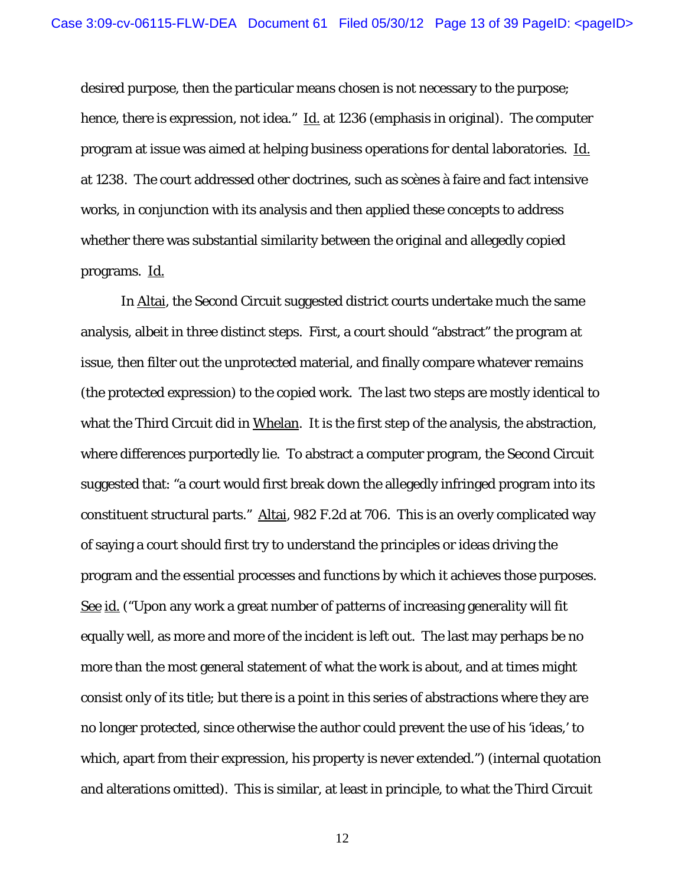desired purpose, then the particular means chosen is not necessary to the purpose; hence, there is expression, not idea." Id. at 1236 (emphasis in original). The computer program at issue was aimed at helping business operations for dental laboratories. Id. at 1238. The court addressed other doctrines, such as scènes à faire and fact intensive works, in conjunction with its analysis and then applied these concepts to address whether there was substantial similarity between the original and allegedly copied programs. Id.

In Altai, the Second Circuit suggested district courts undertake much the same analysis, albeit in three distinct steps. First, a court should "abstract" the program at issue, then filter out the unprotected material, and finally compare whatever remains (the protected expression) to the copied work. The last two steps are mostly identical to what the Third Circuit did in Whelan. It is the first step of the analysis, the abstraction, where differences purportedly lie. To abstract a computer program, the Second Circuit suggested that: "a court would first break down the allegedly infringed program into its constituent structural parts." Altai, 982 F.2d at 706. This is an overly complicated way of saying a court should first try to understand the principles or ideas driving the program and the essential processes and functions by which it achieves those purposes. See id. ("Upon any work a great number of patterns of increasing generality will fit equally well, as more and more of the incident is left out. The last may perhaps be no more than the most general statement of what the work is about, and at times might consist only of its title; but there is a point in this series of abstractions where they are no longer protected, since otherwise the author could prevent the use of his 'ideas,' to which, apart from their expression, his property is never extended.") (internal quotation and alterations omitted). This is similar, at least in principle, to what the Third Circuit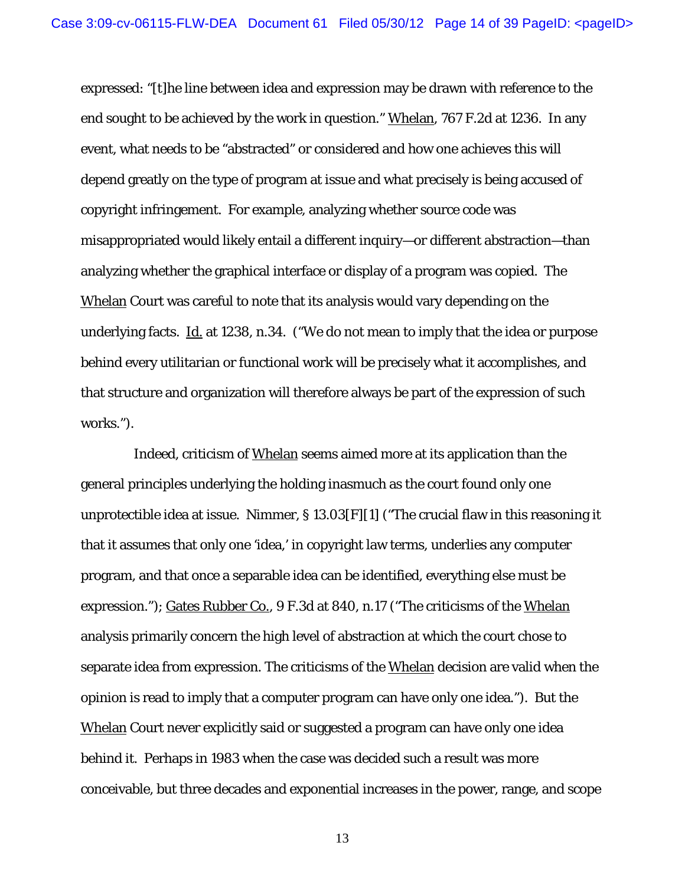expressed: "[t]he line between idea and expression may be drawn with reference to the end sought to be achieved by the work in question." Whelan, 767 F.2d at 1236. In any event, what needs to be "abstracted" or considered and how one achieves this will depend greatly on the type of program at issue and what precisely is being accused of copyright infringement. For example, analyzing whether source code was misappropriated would likely entail a different inquiry—or different abstraction—than analyzing whether the graphical interface or display of a program was copied. The Whelan Court was careful to note that its analysis would vary depending on the underlying facts. Id. at 1238, n.34. ("We do not mean to imply that the idea or purpose behind every utilitarian or functional work will be precisely what it accomplishes, and that structure and organization will therefore always be part of the expression of such works.").

 Indeed, criticism of Whelan seems aimed more at its application than the general principles underlying the holding inasmuch as the court found only one unprotectible idea at issue. Nimmer, § 13.03[F][1] ("The crucial flaw in this reasoning it that it assumes that only one 'idea,' in copyright law terms, underlies any computer program, and that once a separable idea can be identified, everything else must be expression."); Gates Rubber Co., 9 F.3d at 840, n.17 ("The criticisms of the Whelan analysis primarily concern the high level of abstraction at which the court chose to separate idea from expression. The criticisms of the Whelan decision are valid when the opinion is read to imply that a computer program can have only one idea."). But the Whelan Court never explicitly said or suggested a program can have only one idea behind it. Perhaps in 1983 when the case was decided such a result was more conceivable, but three decades and exponential increases in the power, range, and scope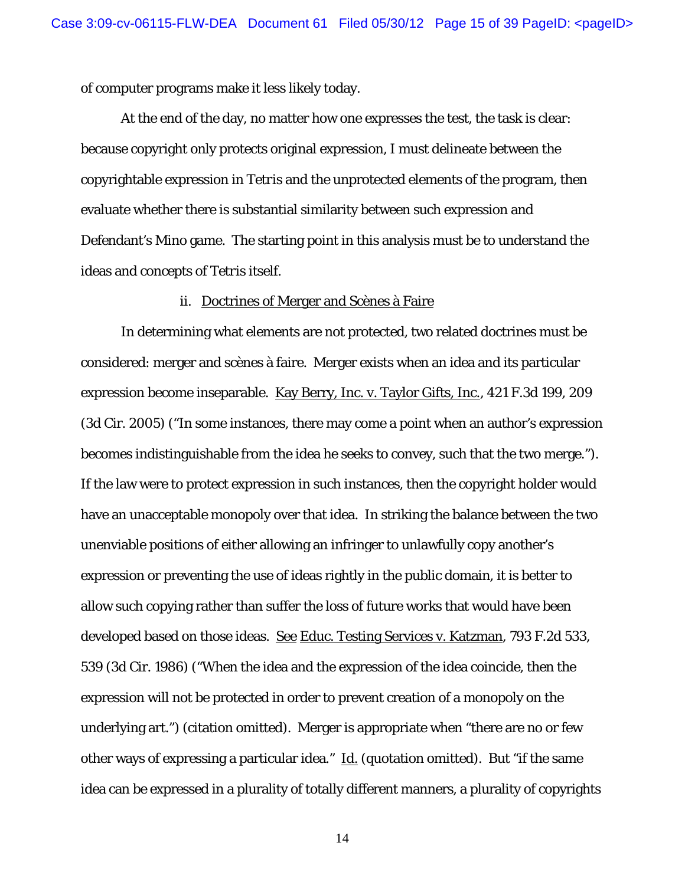of computer programs make it less likely today.

At the end of the day, no matter how one expresses the test, the task is clear: because copyright only protects original expression, I must delineate between the copyrightable expression in *Tetris* and the unprotected elements of the program, then evaluate whether there is substantial similarity between such expression and Defendant's *Mino* game. The starting point in this analysis must be to understand the ideas and concepts of *Tetris* itself.

#### ii. Doctrines of Merger and Scènes à Faire

In determining what elements are not protected, two related doctrines must be considered: merger and scènes à faire. Merger exists when an idea and its particular expression become inseparable. Kay Berry, Inc. v. Taylor Gifts, Inc., 421 F.3d 199, 209 (3d Cir. 2005) ("In some instances, there may come a point when an author's expression becomes indistinguishable from the idea he seeks to convey, such that the two merge."). If the law were to protect expression in such instances, then the copyright holder would have an unacceptable monopoly over that idea. In striking the balance between the two unenviable positions of either allowing an infringer to unlawfully copy another's expression or preventing the use of ideas rightly in the public domain, it is better to allow such copying rather than suffer the loss of future works that would have been developed based on those ideas. See Educ. Testing Services v. Katzman, 793 F.2d 533, 539 (3d Cir. 1986) ("When the idea and the expression of the idea coincide, then the expression will not be protected in order to prevent creation of a monopoly on the underlying art.") (citation omitted). Merger is appropriate when "there are no or few other ways of expressing a particular idea." Id. (quotation omitted). But "if the same idea can be expressed in a plurality of totally different manners, a plurality of copyrights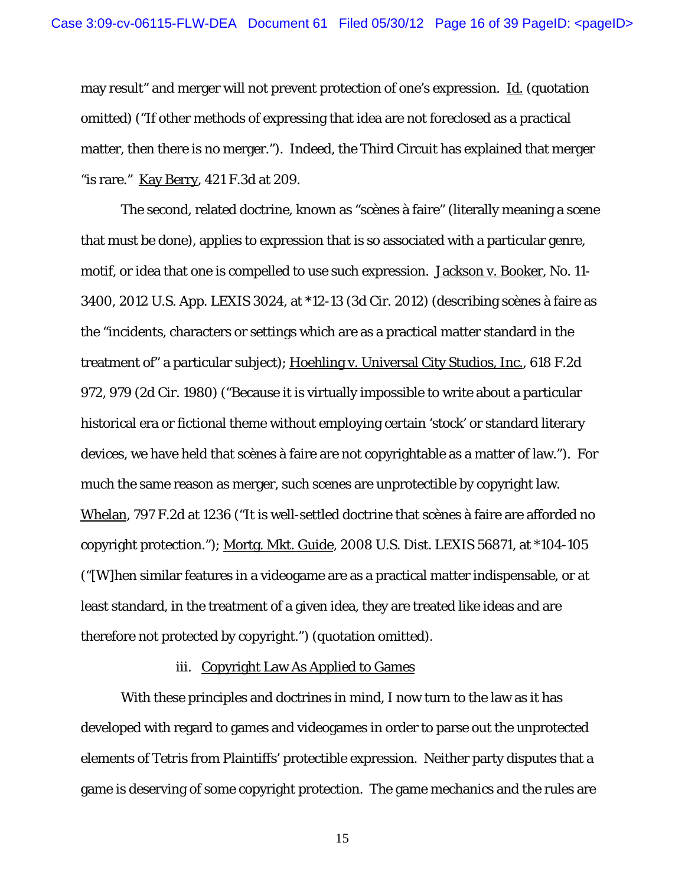may result" and merger will not prevent protection of one's expression. Id. (quotation omitted) ("If other methods of expressing that idea are not foreclosed as a practical matter, then there is no merger."). Indeed, the Third Circuit has explained that merger "is rare." Kay Berry, 421 F.3d at 209.

The second, related doctrine, known as "scènes à faire" (literally meaning a scene that must be done), applies to expression that is so associated with a particular genre, motif, or idea that one is compelled to use such expression. Jackson v. Booker, No. 11- 3400, 2012 U.S. App. LEXIS 3024, at \*12-13 (3d Cir. 2012) (describing scènes à faire as the "incidents, characters or settings which are as a practical matter standard in the treatment of" a particular subject); Hoehling v. Universal City Studios, Inc., 618 F.2d 972, 979 (2d Cir. 1980) ("Because it is virtually impossible to write about a particular historical era or fictional theme without employing certain 'stock' or standard literary devices, we have held that scènes à faire are not copyrightable as a matter of law."). For much the same reason as merger, such scenes are unprotectible by copyright law. Whelan, 797 F.2d at 1236 ("It is well-settled doctrine that scènes à faire are afforded no copyright protection."); Mortg. Mkt. Guide, 2008 U.S. Dist. LEXIS 56871, at \*104-105 ("[W]hen similar features in a videogame are as a practical matter indispensable, or at least standard, in the treatment of a given idea, they are treated like ideas and are therefore not protected by copyright.") (quotation omitted).

#### iii. Copyright Law As Applied to Games

With these principles and doctrines in mind, I now turn to the law as it has developed with regard to games and videogames in order to parse out the unprotected elements of *Tetris* from Plaintiffs' protectible expression. Neither party disputes that a game is deserving of some copyright protection. The game mechanics and the rules are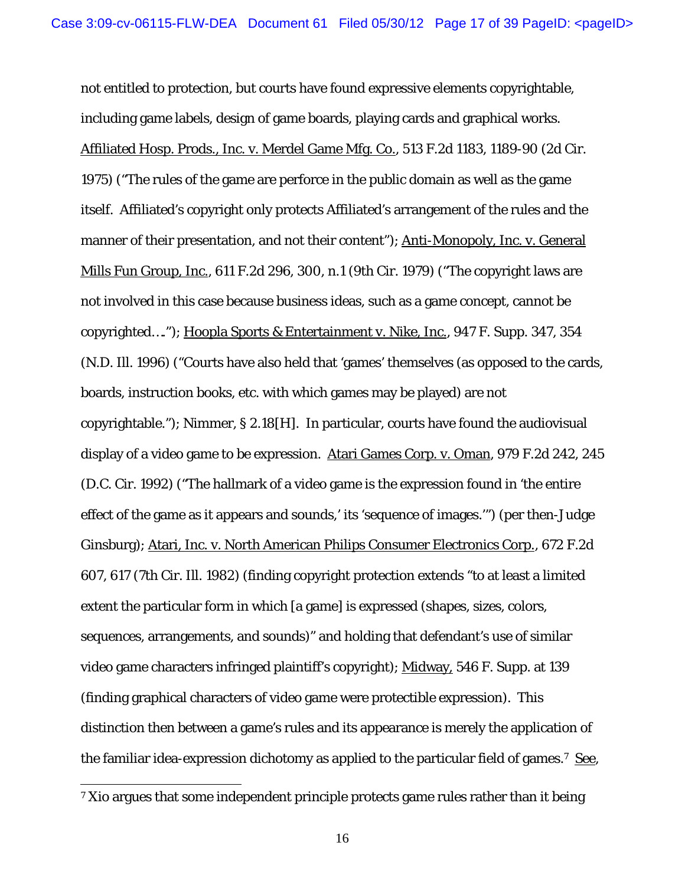not entitled to protection, but courts have found expressive elements copyrightable, including game labels, design of game boards, playing cards and graphical works. Affiliated Hosp. Prods., Inc. v. Merdel Game Mfg. Co., 513 F.2d 1183, 1189-90 (2d Cir. 1975) ("The rules of the game are perforce in the public domain as well as the game itself. Affiliated's copyright only protects Affiliated's arrangement of the rules and the manner of their presentation, and not their content"); Anti-Monopoly, Inc. v. General Mills Fun Group, Inc., 611 F.2d 296, 300, n.1 (9th Cir. 1979) ("The copyright laws are not involved in this case because business ideas, such as a game concept, cannot be copyrighted…."); Hoopla Sports & Entertainment v. Nike, Inc., 947 F. Supp. 347, 354 (N.D. Ill. 1996) ("Courts have also held that 'games' themselves (as opposed to the cards, boards, instruction books, etc. with which games may be played) are not copyrightable."); Nimmer, § 2.18[H]. In particular, courts have found the audiovisual display of a video game to be expression. Atari Games Corp. v. Oman, 979 F.2d 242, 245 (D.C. Cir. 1992) ("The hallmark of a video game is the expression found in 'the entire effect of the game as it appears and sounds,' its 'sequence of images.'") (per then-Judge Ginsburg); Atari, Inc. v. North American Philips Consumer Electronics Corp., 672 F.2d 607, 617 (7th Cir. Ill. 1982) (finding copyright protection extends "to at least a limited extent the particular form in which [a game] is expressed (shapes, sizes, colors, sequences, arrangements, and sounds)" and holding that defendant's use of similar video game characters infringed plaintiff's copyright); Midway, 546 F. Supp. at 139 (finding graphical characters of video game were protectible expression). This distinction then between a game's rules and its appearance is merely the application of the familiar idea-expression dichotomy as applied to the particular field of games.<sup>7</sup> See,

<sup>&</sup>lt;sup>7</sup> Xio argues that some independent principle protects game rules rather than it being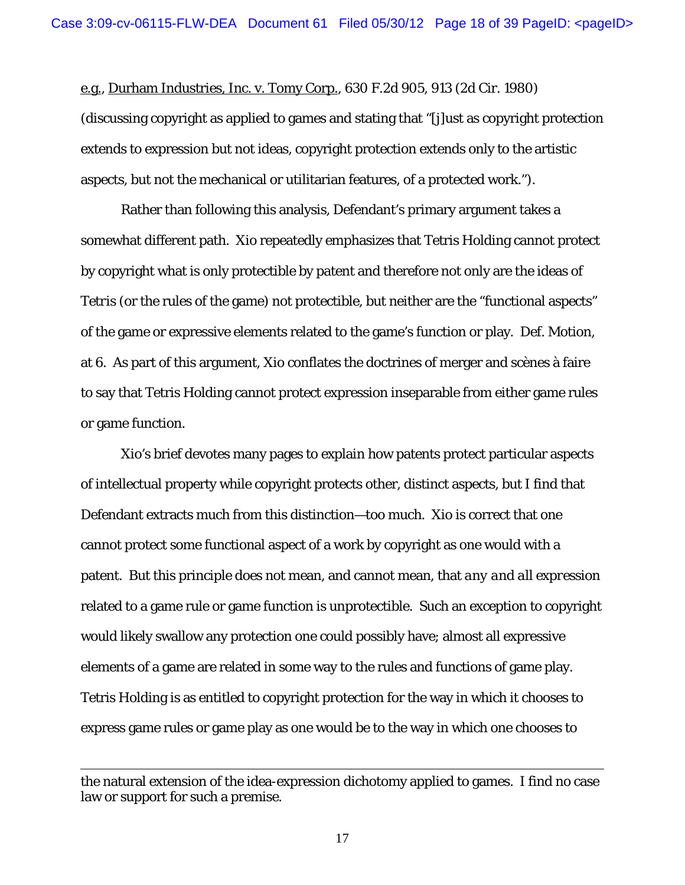e.g., Durham Industries, Inc. v. Tomy Corp., 630 F.2d 905, 913 (2d Cir. 1980) (discussing copyright as applied to games and stating that "[j]ust as copyright protection extends to expression but not ideas, copyright protection extends only to the artistic aspects, but not the mechanical or utilitarian features, of a protected work.").

Rather than following this analysis, Defendant's primary argument takes a somewhat different path. Xio repeatedly emphasizes that Tetris Holding cannot protect by copyright what is only protectible by patent and therefore not only are the ideas of *Tetris* (or the rules of the game) not protectible, but neither are the "functional aspects" of the game or expressive elements related to the game's function or play. Def. Motion, at 6. As part of this argument, Xio conflates the doctrines of merger and scènes à faire to say that Tetris Holding cannot protect expression inseparable from either game rules or game function.

Xio's brief devotes many pages to explain how patents protect particular aspects of intellectual property while copyright protects other, distinct aspects, but I find that Defendant extracts much from this distinction—too much. Xio is correct that one cannot protect some functional aspect of a work by copyright as one would with a patent. But this principle does not mean, and cannot mean, that *any and all expression* related to a game rule or game function is unprotectible. Such an exception to copyright would likely swallow any protection one could possibly have; almost all expressive elements of a game are related in some way to the rules and functions of game play. Tetris Holding is as entitled to copyright protection for the way in which it chooses to express game rules or game play as one would be to the way in which one chooses to

 $\overline{a}$ 

the natural extension of the idea-expression dichotomy applied to games. I find no case law or support for such a premise.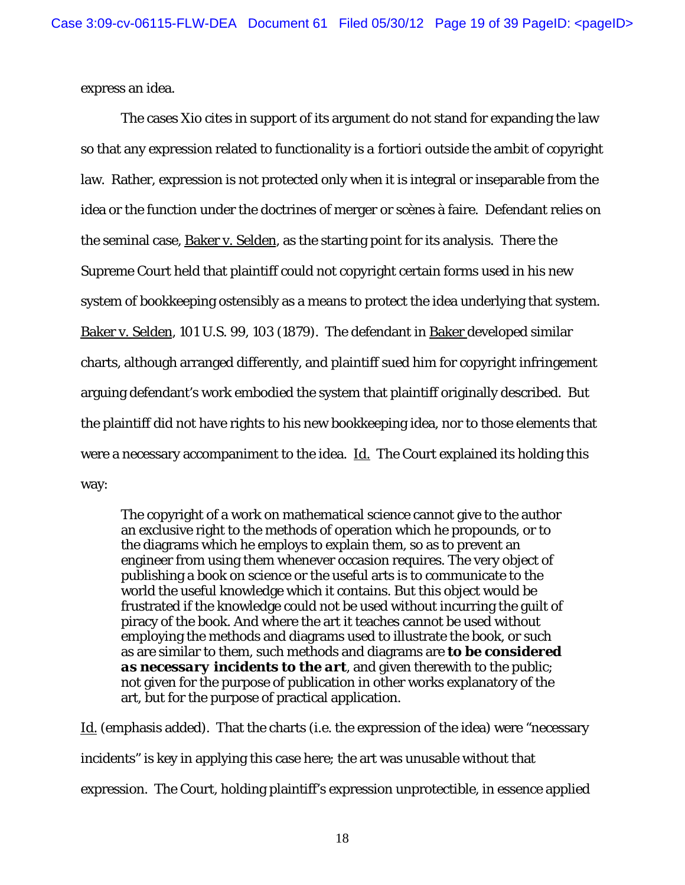express an idea.

The cases Xio cites in support of its argument do not stand for expanding the law so that any expression related to functionality is *a fortiori* outside the ambit of copyright law. Rather, expression is not protected only when it is integral or inseparable from the idea or the function under the doctrines of merger or scènes à faire. Defendant relies on the seminal case, Baker v. Selden, as the starting point for its analysis. There the Supreme Court held that plaintiff could not copyright certain forms used in his new system of bookkeeping ostensibly as a means to protect the idea underlying that system. Baker v. Selden, 101 U.S. 99, 103 (1879). The defendant in Baker developed similar charts, although arranged differently, and plaintiff sued him for copyright infringement arguing defendant's work embodied the system that plaintiff originally described. But the plaintiff did not have rights to his new bookkeeping idea, nor to those elements that were a necessary accompaniment to the idea.  $\underline{\mathop{\rm Id}\nolimits}$ . The Court explained its holding this way:

The copyright of a work on mathematical science cannot give to the author an exclusive right to the methods of operation which he propounds, or to the diagrams which he employs to explain them, so as to prevent an engineer from using them whenever occasion requires. The very object of publishing a book on science or the useful arts is to communicate to the world the useful knowledge which it contains. But this object would be frustrated if the knowledge could not be used without incurring the guilt of piracy of the book. And where the art it teaches cannot be used without employing the methods and diagrams used to illustrate the book, or such as are similar to them, such methods and diagrams are *to be considered as necessary incidents to the art*, and given therewith to the public; not given for the purpose of publication in other works explanatory of the art, but for the purpose of practical application.

Id. (emphasis added). That the charts (i.e. the expression of the idea) were "necessary incidents" is key in applying this case here; the art was unusable without that expression. The Court, holding plaintiff's expression unprotectible, in essence applied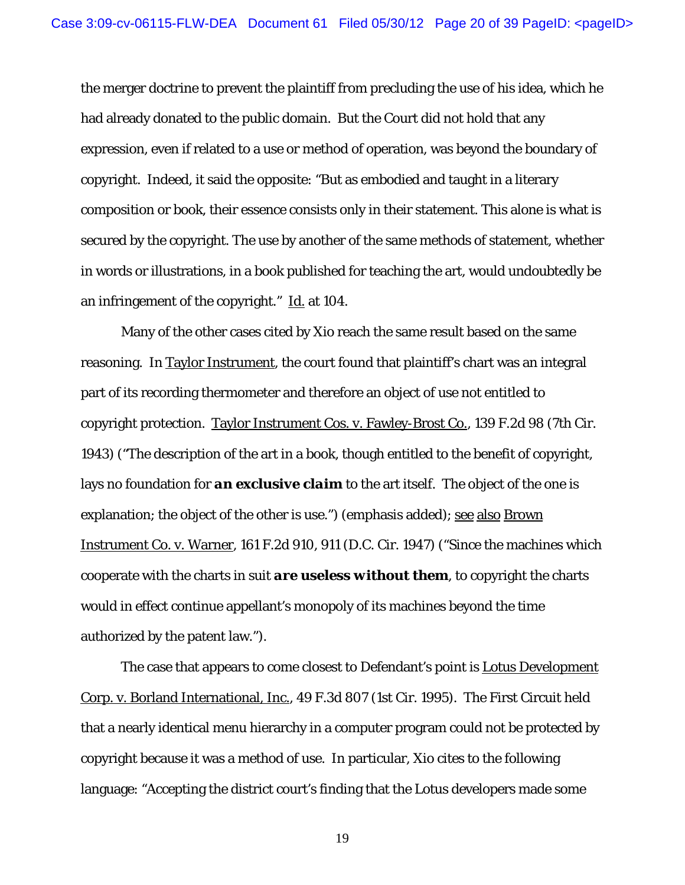the merger doctrine to prevent the plaintiff from precluding the use of his idea, which he had already donated to the public domain. But the Court did not hold that any expression, even if related to a use or method of operation, was beyond the boundary of copyright. Indeed, it said the opposite: "But as embodied and taught in a literary composition or book, their essence consists only in their statement. This alone is what is secured by the copyright. The use by another of the same methods of statement, whether in words or illustrations, in a book published for teaching the art, would undoubtedly be an infringement of the copyright." Id. at 104.

Many of the other cases cited by Xio reach the same result based on the same reasoning. In Taylor Instrument, the court found that plaintiff's chart was an integral part of its recording thermometer and therefore an object of use not entitled to copyright protection. Taylor Instrument Cos. v. Fawley-Brost Co., 139 F.2d 98 (7th Cir. 1943) ("The description of the art in a book, though entitled to the benefit of copyright, lays no foundation for *an exclusive claim* to the art itself. The object of the one is explanation; the object of the other is use.") (emphasis added); see also Brown Instrument Co. v. Warner, 161 F.2d 910, 911 (D.C. Cir. 1947) ("Since the machines which cooperate with the charts in suit *are useless without them*, to copyright the charts would in effect continue appellant's monopoly of its machines beyond the time authorized by the patent law.").

The case that appears to come closest to Defendant's point is **Lotus Development** Corp. v. Borland International, Inc., 49 F.3d 807 (1st Cir. 1995). The First Circuit held that a nearly identical menu hierarchy in a computer program could not be protected by copyright because it was a method of use. In particular, Xio cites to the following language: "Accepting the district court's finding that the Lotus developers made some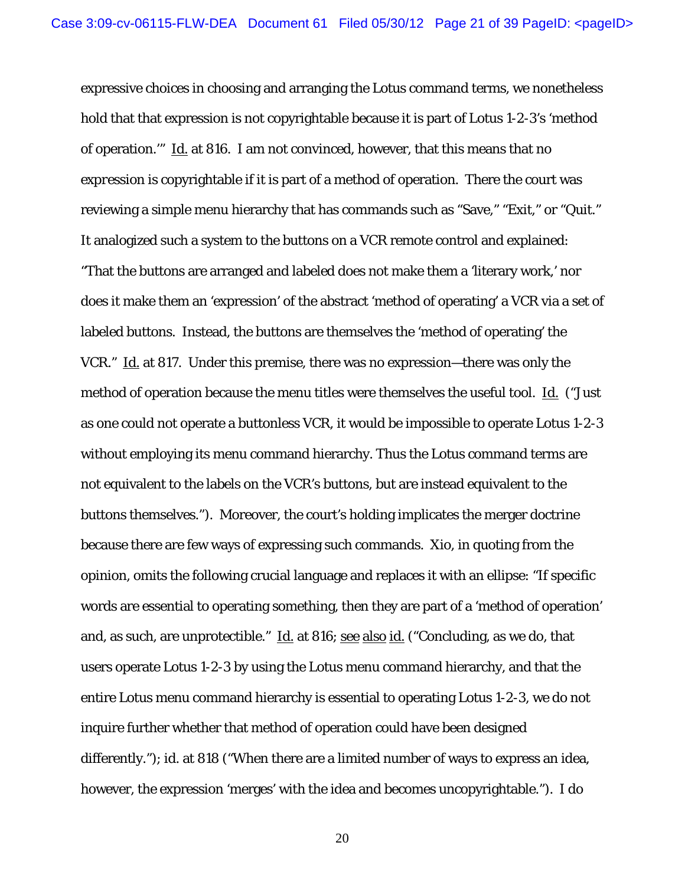expressive choices in choosing and arranging the Lotus command terms, we nonetheless hold that that expression is not copyrightable because it is part of Lotus 1-2-3's 'method of operation.'" Id. at 816. I am not convinced, however, that this means that *no expression* is copyrightable if it is part of a method of operation. There the court was reviewing a simple menu hierarchy that has commands such as "Save," "Exit," or "Quit." It analogized such a system to the buttons on a VCR remote control and explained: "That the buttons are arranged and labeled does not make them a 'literary work,' nor does it make them an 'expression' of the abstract 'method of operating' a VCR via a set of labeled buttons. Instead, the buttons are themselves the 'method of operating' the VCR." Id. at 817. Under this premise, there was no expression—there was only the method of operation because the menu titles were themselves the useful tool. Id. ("Just as one could not operate a buttonless VCR, it would be impossible to operate Lotus 1-2-3 without employing its menu command hierarchy. Thus the Lotus command terms are not equivalent to the labels on the VCR's buttons, but are instead equivalent to the buttons themselves."). Moreover, the court's holding implicates the merger doctrine because there are few ways of expressing such commands. Xio, in quoting from the opinion, omits the following crucial language and replaces it with an ellipse: "If specific words are essential to operating something, then they are part of a 'method of operation' and, as such, are unprotectible." Id. at 816; see also id. ("Concluding, as we do, that users operate Lotus 1-2-3 by using the Lotus menu command hierarchy, and that the entire Lotus menu command hierarchy is essential to operating Lotus 1-2-3, we do not inquire further whether that method of operation could have been designed differently."); id. at 818 ("When there are a limited number of ways to express an idea, however, the expression 'merges' with the idea and becomes uncopyrightable."). I do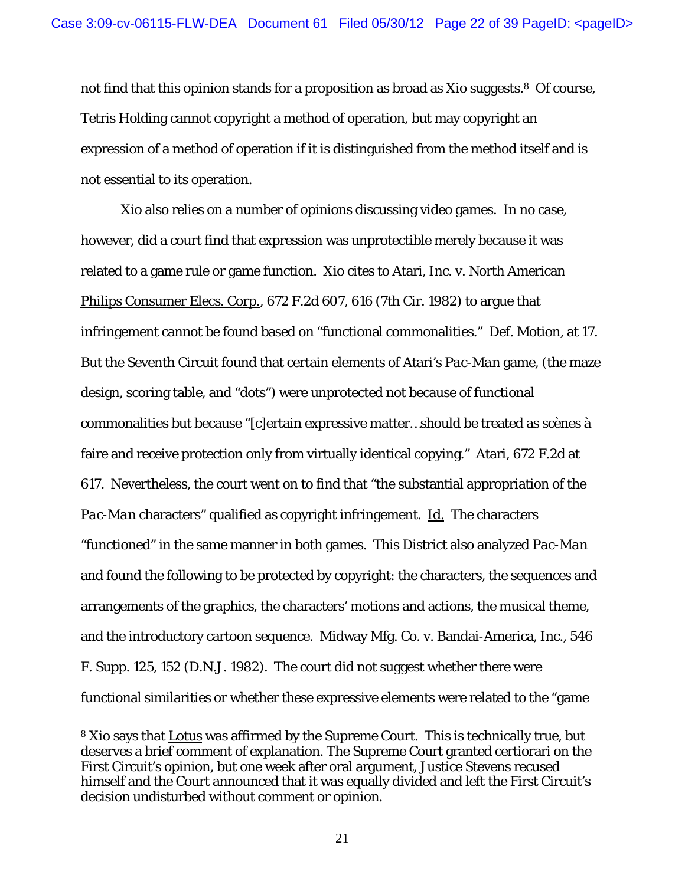not find that this opinion stands for a proposition as broad as Xio suggests.<sup>8</sup> Of course, Tetris Holding cannot copyright a method of operation, but may copyright an expression of a method of operation if it is distinguished from the method itself and is not essential to its operation.

Xio also relies on a number of opinions discussing video games. In no case, however, did a court find that expression was unprotectible merely because it was related to a game rule or game function. Xio cites to Atari, Inc. v. North American Philips Consumer Elecs. Corp., 672 F.2d 607, 616 (7th Cir. 1982) to argue that infringement cannot be found based on "functional commonalities." Def. Motion, at 17. But the Seventh Circuit found that certain elements of Atari's *Pac-Man* game, (the maze design, scoring table, and "dots") were unprotected not because of functional commonalities but because "[c]ertain expressive matter…should be treated as scènes à faire and receive protection only from virtually identical copying." Atari, 672 F.2d at 617. Nevertheless, the court went on to find that "the substantial appropriation of the *Pac-Man* characters" qualified as copyright infringement. **Id.** The characters "functioned" in the same manner in both games. This District also analyzed *Pac-Man* and found the following to be protected by copyright: the characters, the sequences and arrangements of the graphics, the characters' motions and actions, the musical theme, and the introductory cartoon sequence. Midway Mfg. Co. v. Bandai-America, Inc., 546 F. Supp. 125, 152 (D.N.J. 1982). The court did not suggest whether there were functional similarities or whether these expressive elements were related to the "game

<sup>8</sup> Xio says that Lotus was affirmed by the Supreme Court. This is technically true, but deserves a brief comment of explanation. The Supreme Court granted certiorari on the First Circuit's opinion, but one week after oral argument, Justice Stevens recused himself and the Court announced that it was equally divided and left the First Circuit's decision undisturbed without comment or opinion.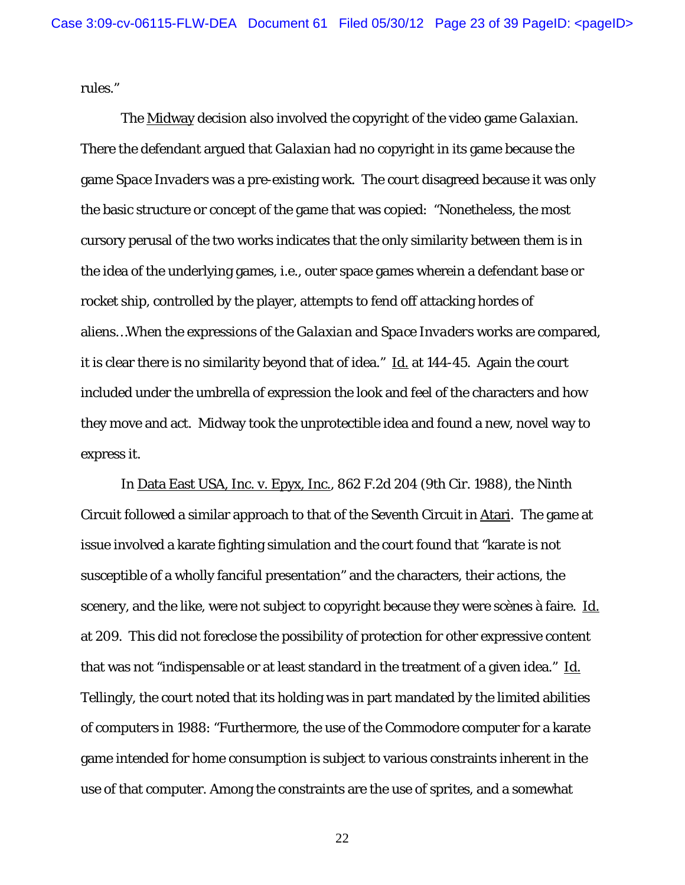rules."

The Midway decision also involved the copyright of the video game *Galaxian*. There the defendant argued that *Galaxian* had no copyright in its game because the game *Space Invaders* was a pre-existing work. The court disagreed because it was only the basic structure or concept of the game that was copied: "Nonetheless, the most cursory perusal of the two works indicates that the only similarity between them is in the idea of the underlying games, i.e., outer space games wherein a defendant base or rocket ship, controlled by the player, attempts to fend off attacking hordes of aliens…When the expressions of the *Galaxian* and *Space Invaders* works are compared, it is clear there is no similarity beyond that of idea."  $\underline{Id}$  at 144-45. Again the court included under the umbrella of expression the look and feel of the characters and how they move and act. Midway took the unprotectible idea and found a new, novel way to express it.

In Data East USA, Inc. v. Epyx, Inc., 862 F.2d 204 (9th Cir. 1988), the Ninth Circuit followed a similar approach to that of the Seventh Circuit in Atari. The game at issue involved a karate fighting simulation and the court found that "karate is not susceptible of a wholly fanciful presentation" and the characters, their actions, the scenery, and the like, were not subject to copyright because they were scènes à faire. Id. at 209. This did not foreclose the possibility of protection for other expressive content that was not "indispensable or at least standard in the treatment of a given idea." Id. Tellingly, the court noted that its holding was in part mandated by the limited abilities of computers in 1988: "Furthermore, the use of the Commodore computer for a karate game intended for home consumption is subject to various constraints inherent in the use of that computer. Among the constraints are the use of sprites, and a somewhat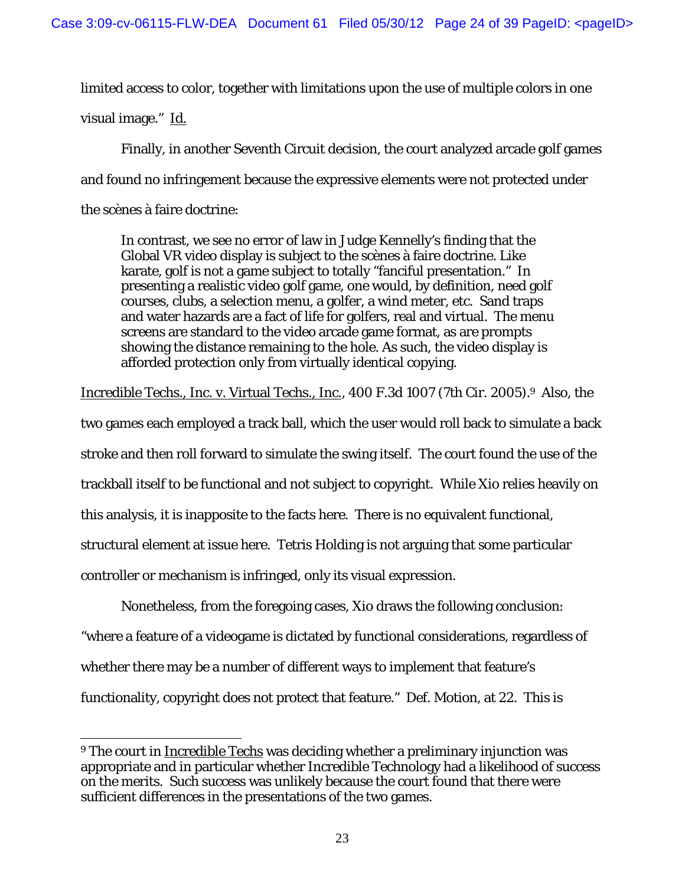limited access to color, together with limitations upon the use of multiple colors in one

visual image." Id.

 $\overline{a}$ 

Finally, in another Seventh Circuit decision, the court analyzed arcade golf games and found no infringement because the expressive elements were not protected under the scènes à faire doctrine:

In contrast, we see no error of law in Judge Kennelly's finding that the Global VR video display is subject to the scènes à faire doctrine. Like karate, golf is not a game subject to totally "fanciful presentation." In presenting a realistic video golf game, one would, by definition, need golf courses, clubs, a selection menu, a golfer, a wind meter, etc. Sand traps and water hazards are a fact of life for golfers, real and virtual. The menu screens are standard to the video arcade game format, as are prompts showing the distance remaining to the hole. As such, the video display is afforded protection only from virtually identical copying.

Incredible Techs., Inc. v. Virtual Techs., Inc., 400 F.3d 1007 (7th Cir. 2005).9 Also, the

two games each employed a track ball, which the user would roll back to simulate a back

stroke and then roll forward to simulate the swing itself. The court found the use of the

trackball itself to be functional and not subject to copyright. While Xio relies heavily on

this analysis, it is inapposite to the facts here. There is no equivalent functional,

structural element at issue here. Tetris Holding is not arguing that some particular

controller or mechanism is infringed, only its visual expression.

 Nonetheless, from the foregoing cases, Xio draws the following conclusion: "where a feature of a videogame is dictated by functional considerations, regardless of whether there may be a number of different ways to implement that feature's functionality, copyright does not protect that feature." Def. Motion, at 22. This is

<sup>9</sup> The court in Incredible Techs was deciding whether a preliminary injunction was appropriate and in particular whether Incredible Technology had a likelihood of success on the merits. Such success was unlikely because the court found that there were sufficient differences in the presentations of the two games.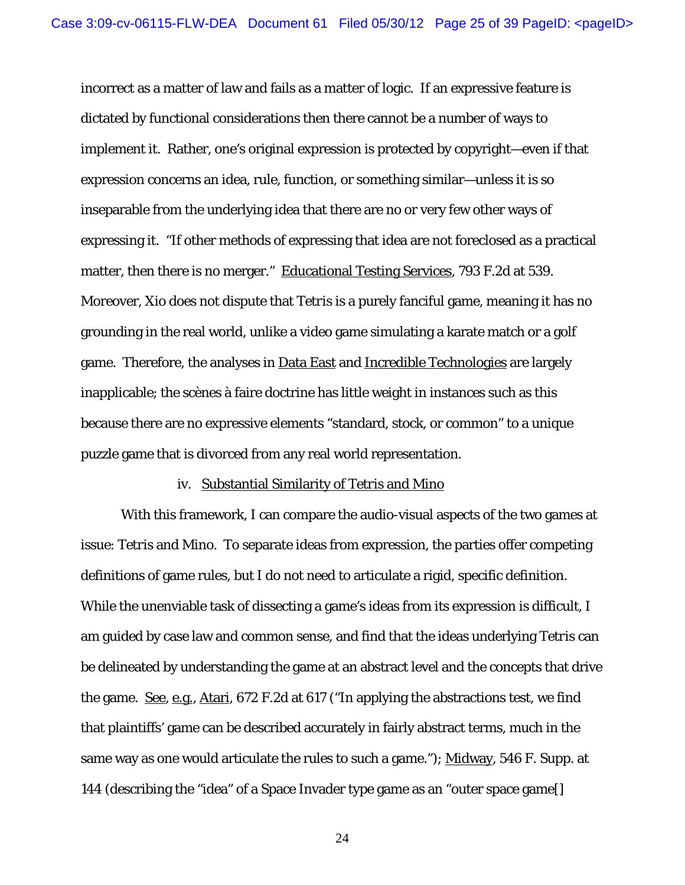incorrect as a matter of law and fails as a matter of logic. If an expressive feature is dictated by functional considerations then there cannot be a number of ways to implement it. Rather, one's original expression is protected by copyright—even if that expression concerns an idea, rule, function, or something similar—unless it is so inseparable from the underlying idea that there are no or very few other ways of expressing it. "If other methods of expressing that idea are not foreclosed as a practical matter, then there is no merger." Educational Testing Services, 793 F.2d at 539. Moreover, Xio does not dispute that *Tetris* is a purely fanciful game, meaning it has no grounding in the real world, unlike a video game simulating a karate match or a golf game. Therefore, the analyses in Data East and Incredible Technologies are largely inapplicable; the scènes à faire doctrine has little weight in instances such as this because there are no expressive elements "standard, stock, or common" to a unique puzzle game that is divorced from any real world representation.

#### iv. Substantial Similarity of *Tetris* and *Mino*

 With this framework, I can compare the audio-visual aspects of the two games at issue: *Tetris* and *Mino*. To separate ideas from expression, the parties offer competing definitions of game rules, but I do not need to articulate a rigid, specific definition. While the unenviable task of dissecting a game's ideas from its expression is difficult, I am guided by case law and common sense, and find that the ideas underlying *Tetris* can be delineated by understanding the game at an abstract level and the concepts that drive the game. See, e.g., Atari, 672 F.2d at 617 ("In applying the abstractions test, we find that plaintiffs' game can be described accurately in fairly abstract terms, much in the same way as one would articulate the rules to such a game."); Midway, 546 F. Supp. at 144 (describing the "idea" of a Space Invader type game as an "outer space game[]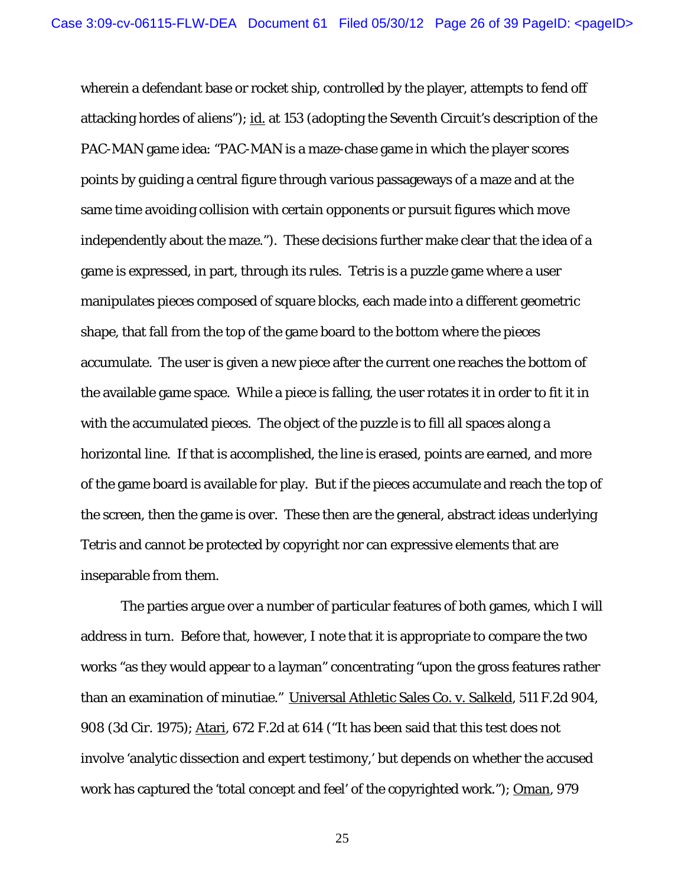wherein a defendant base or rocket ship, controlled by the player, attempts to fend off attacking hordes of aliens"); id. at 153 (adopting the Seventh Circuit's description of the PAC-MAN game idea: "PAC-MAN is a maze-chase game in which the player scores points by guiding a central figure through various passageways of a maze and at the same time avoiding collision with certain opponents or pursuit figures which move independently about the maze."). These decisions further make clear that the idea of a game is expressed, in part, through its rules. *Tetris* is a puzzle game where a user manipulates pieces composed of square blocks, each made into a different geometric shape, that fall from the top of the game board to the bottom where the pieces accumulate. The user is given a new piece after the current one reaches the bottom of the available game space. While a piece is falling, the user rotates it in order to fit it in with the accumulated pieces. The object of the puzzle is to fill all spaces along a horizontal line. If that is accomplished, the line is erased, points are earned, and more of the game board is available for play. But if the pieces accumulate and reach the top of the screen, then the game is over. These then are the general, abstract ideas underlying *Tetris* and cannot be protected by copyright nor can expressive elements that are inseparable from them.

 The parties argue over a number of particular features of both games, which I will address in turn. Before that, however, I note that it is appropriate to compare the two works "as they would appear to a layman" concentrating "upon the gross features rather than an examination of minutiae." Universal Athletic Sales Co. v. Salkeld, 511 F.2d 904, 908 (3d Cir. 1975); Atari, 672 F.2d at 614 ("It has been said that this test does not involve 'analytic dissection and expert testimony,' but depends on whether the accused work has captured the 'total concept and feel' of the copyrighted work."); Oman, 979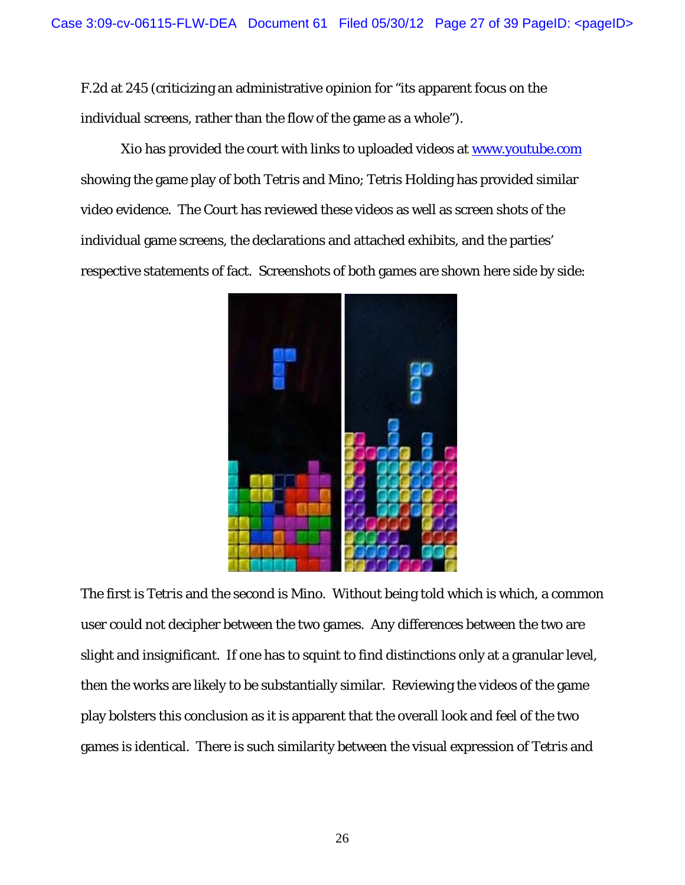F.2d at 245 (criticizing an administrative opinion for "its apparent focus on the individual screens, rather than the flow of the game as a whole").

 Xio has provided the court with links to uploaded videos at www.youtube.com showing the game play of both *Tetris* and *Mino*; Tetris Holding has provided similar video evidence. The Court has reviewed these videos as well as screen shots of the individual game screens, the declarations and attached exhibits, and the parties' respective statements of fact. Screenshots of both games are shown here side by side:



The first is *Tetris* and the second is *Mino*. Without being told which is which, a common user could not decipher between the two games. Any differences between the two are slight and insignificant. If one has to squint to find distinctions only at a granular level, then the works are likely to be substantially similar. Reviewing the videos of the game play bolsters this conclusion as it is apparent that the overall look and feel of the two games is identical. There is such similarity between the visual expression of *Tetris* and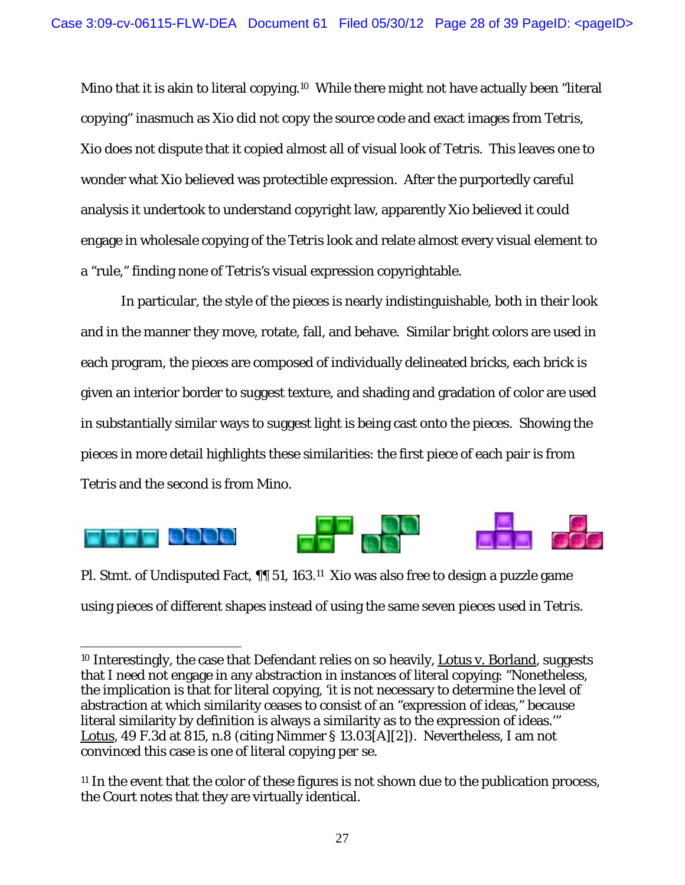*Mino* that it is akin to literal copying.<sup>10</sup> While there might not have actually been "literal copying" inasmuch as Xio did not copy the source code and exact images from *Tetris*, Xio does not dispute that it copied almost all of visual look of *Tetris*. This leaves one to wonder what Xio believed was protectible expression. After the purportedly careful analysis it undertook to understand copyright law, apparently Xio believed it could engage in wholesale copying of the *Tetris* look and relate almost every visual element to a "rule," finding none of *Tetris's* visual expression copyrightable.

In particular, the style of the pieces is nearly indistinguishable, both in their look and in the manner they move, rotate, fall, and behave. Similar bright colors are used in each program, the pieces are composed of individually delineated bricks, each brick is given an interior border to suggest texture, and shading and gradation of color are used in substantially similar ways to suggest light is being cast onto the pieces. Showing the pieces in more detail highlights these similarities: the first piece of each pair is from *Tetris* and the second is from *Mino*.



Pl. Stmt. of Undisputed Fact, ¶¶ 51, 163.11 Xio was also free to design a puzzle game using pieces of different shapes instead of using the same seven pieces used in *Tetris*.

<sup>10</sup> Interestingly, the case that Defendant relies on so heavily, Lotus v. Borland, suggests that I need not engage in any abstraction in instances of literal copying: "Nonetheless, the implication is that for literal copying, 'it is not necessary to determine the level of abstraction at which similarity ceases to consist of an "expression of ideas," because literal similarity by definition is always a similarity as to the expression of ideas.'" Lotus, 49 F.3d at 815, n.8 (citing Nimmer § 13.03[A][2]). Nevertheless, I am not convinced this case is one of literal copying *per se*.

<sup>11</sup> In the event that the color of these figures is not shown due to the publication process, the Court notes that they are virtually identical.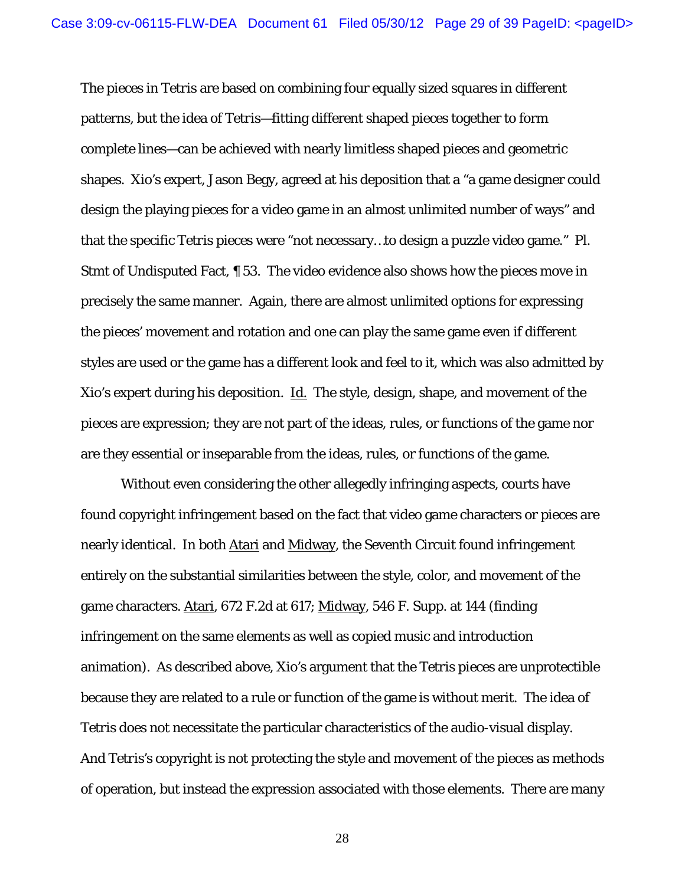The pieces in *Tetris* are based on combining four equally sized squares in different patterns, but the idea of *Tetris*—fitting different shaped pieces together to form complete lines—can be achieved with nearly limitless shaped pieces and geometric shapes. Xio's expert, Jason Begy, agreed at his deposition that a "a game designer could design the playing pieces for a video game in an almost unlimited number of ways" and that the specific *Tetris* pieces were "not necessary…to design a puzzle video game." Pl. Stmt of Undisputed Fact, ¶ 53. The video evidence also shows how the pieces move in precisely the same manner. Again, there are almost unlimited options for expressing the pieces' movement and rotation and one can play the same game even if different styles are used or the game has a different look and feel to it, which was also admitted by Xio's expert during his deposition. Id. The style, design, shape, and movement of the pieces are expression; they are not part of the ideas, rules, or functions of the game nor are they essential or inseparable from the ideas, rules, or functions of the game.

Without even considering the other allegedly infringing aspects, courts have found copyright infringement based on the fact that video game characters or pieces are nearly identical. In both Atari and Midway, the Seventh Circuit found infringement entirely on the substantial similarities between the style, color, and movement of the game characters. Atari, 672 F.2d at 617; Midway, 546 F. Supp. at 144 (finding infringement on the same elements as well as copied music and introduction animation). As described above, Xio's argument that the *Tetris* pieces are unprotectible because they are related to a rule or function of the game is without merit. The idea of *Tetris* does not necessitate the particular characteristics of the audio-visual display. And *Tetris's* copyright is not protecting the style and movement of the pieces as methods of operation, but instead the expression associated with those elements. There are many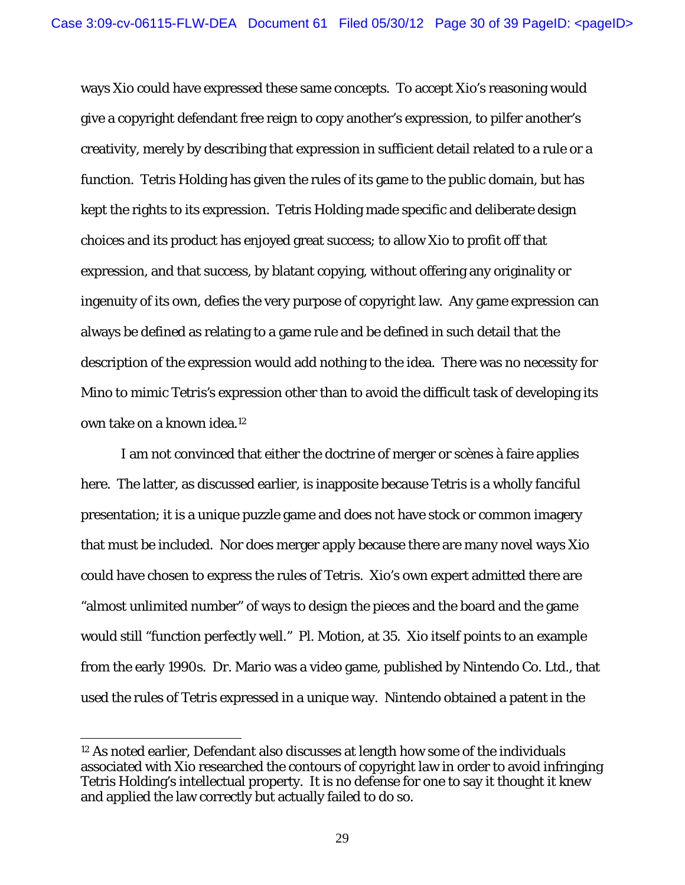ways Xio could have expressed these same concepts. To accept Xio's reasoning would give a copyright defendant free reign to copy another's expression, to pilfer another's creativity, merely by describing that expression in sufficient detail related to a rule or a function. Tetris Holding has given the rules of its game to the public domain, but has kept the rights to its expression. Tetris Holding made specific and deliberate design choices and its product has enjoyed great success; to allow Xio to profit off that expression, and that success, by blatant copying, without offering any originality or ingenuity of its own, defies the very purpose of copyright law. Any game expression can always be defined as relating to a game rule and be defined in such detail that the description of the expression would add nothing to the idea. There was no necessity for *Mino* to mimic *Tetris's* expression other than to avoid the difficult task of developing its own take on a known idea.12

I am not convinced that either the doctrine of merger or scènes à faire applies here. The latter, as discussed earlier, is inapposite because *Tetris* is a wholly fanciful presentation; it is a unique puzzle game and does not have stock or common imagery that must be included. Nor does merger apply because there are many novel ways Xio could have chosen to express the rules of *Tetris*. Xio's own expert admitted there are "almost unlimited number" of ways to design the pieces and the board and the game would still "function perfectly well." Pl. Motion, at 35. Xio itself points to an example from the early 1990s. Dr. Mario was a video game, published by Nintendo Co. Ltd., that used the rules of *Tetris* expressed in a unique way. Nintendo obtained a patent in the

<sup>12</sup> As noted earlier, Defendant also discusses at length how some of the individuals associated with Xio researched the contours of copyright law in order to avoid infringing Tetris Holding's intellectual property. It is no defense for one to say it thought it knew and applied the law correctly but actually failed to do so.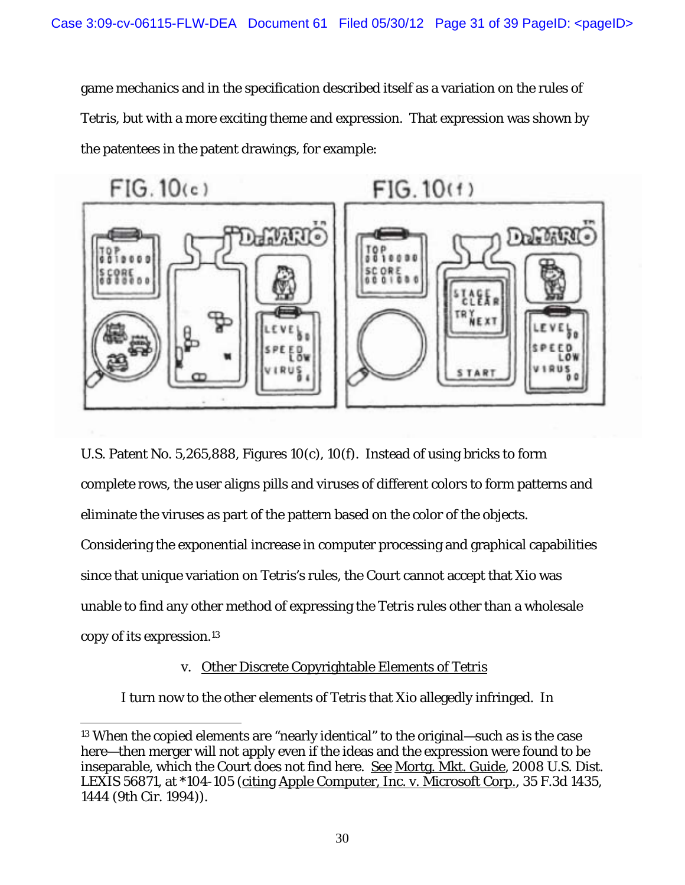game mechanics and in the specification described itself as a variation on the rules of *Tetris*, but with a more exciting theme and expression. That expression was shown by the patentees in the patent drawings, for example:



U.S. Patent No. 5,265,888, Figures 10(c), 10(f). Instead of using bricks to form complete rows, the user aligns pills and viruses of different colors to form patterns and eliminate the viruses as part of the pattern based on the color of the objects. Considering the exponential increase in computer processing and graphical capabilities since that unique variation on *Tetris*'s rules, the Court cannot accept that Xio was unable to find any other method of expressing the *Tetris* rules other than a wholesale copy of its expression.13

# v. Other Discrete Copyrightable Elements of *Tetris*

I turn now to the other elements of *Tetris* that Xio allegedly infringed. In

<sup>13</sup> When the copied elements are "nearly identical" to the original—such as is the case here—then merger will not apply even if the ideas and the expression were found to be inseparable, which the Court does not find here. See Mortg. Mkt. Guide, 2008 U.S. Dist. LEXIS 56871, at \*104-105 (citing Apple Computer, Inc. v. Microsoft Corp., 35 F.3d 1435, 1444 (9th Cir. 1994)).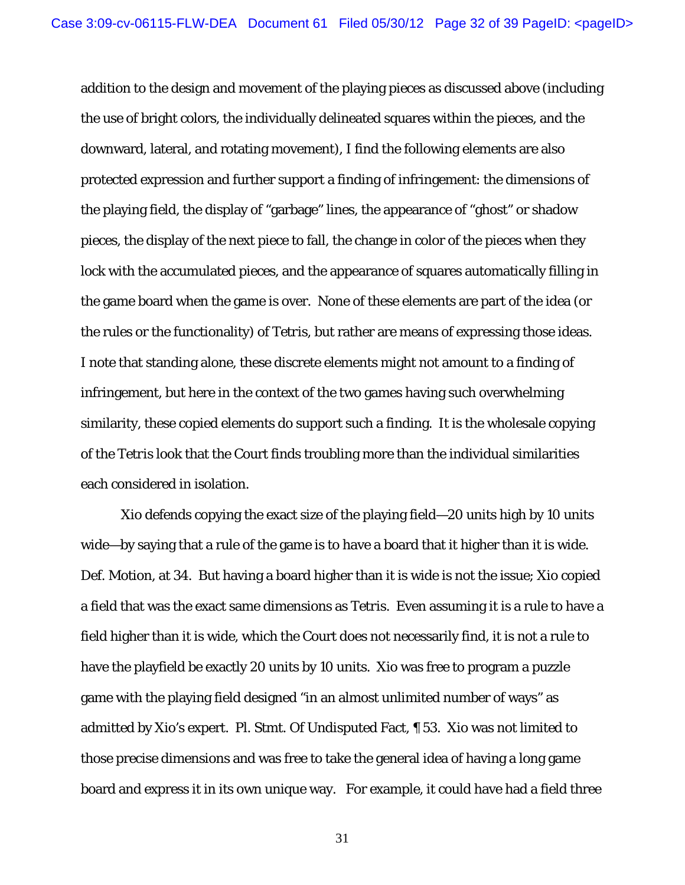addition to the design and movement of the playing pieces as discussed above (including the use of bright colors, the individually delineated squares within the pieces, and the downward, lateral, and rotating movement), I find the following elements are also protected expression and further support a finding of infringement: the dimensions of the playing field, the display of "garbage" lines, the appearance of "ghost" or shadow pieces, the display of the next piece to fall, the change in color of the pieces when they lock with the accumulated pieces, and the appearance of squares automatically filling in the game board when the game is over. None of these elements are part of the idea (or the rules or the functionality) of *Tetris*, but rather are means of expressing those ideas. I note that standing alone, these discrete elements might not amount to a finding of infringement, but here in the context of the two games having such overwhelming similarity, these copied elements do support such a finding. It is the wholesale copying of the *Tetris* look that the Court finds troubling more than the individual similarities each considered in isolation.

Xio defends copying the exact size of the playing field—20 units high by 10 units wide—by saying that a rule of the game is to have a board that it higher than it is wide. Def. Motion, at 34. But having a board higher than it is wide is not the issue; Xio copied a field that was the exact same dimensions as *Tetris*. Even assuming it is a rule to have a field higher than it is wide, which the Court does not necessarily find, it is not a rule to have the playfield be exactly 20 units by 10 units. Xio was free to program a puzzle game with the playing field designed "in an almost unlimited number of ways" as admitted by Xio's expert. Pl. Stmt. Of Undisputed Fact, ¶ 53. Xio was not limited to those precise dimensions and was free to take the general idea of having a long game board and express it in its own unique way. For example, it could have had a field three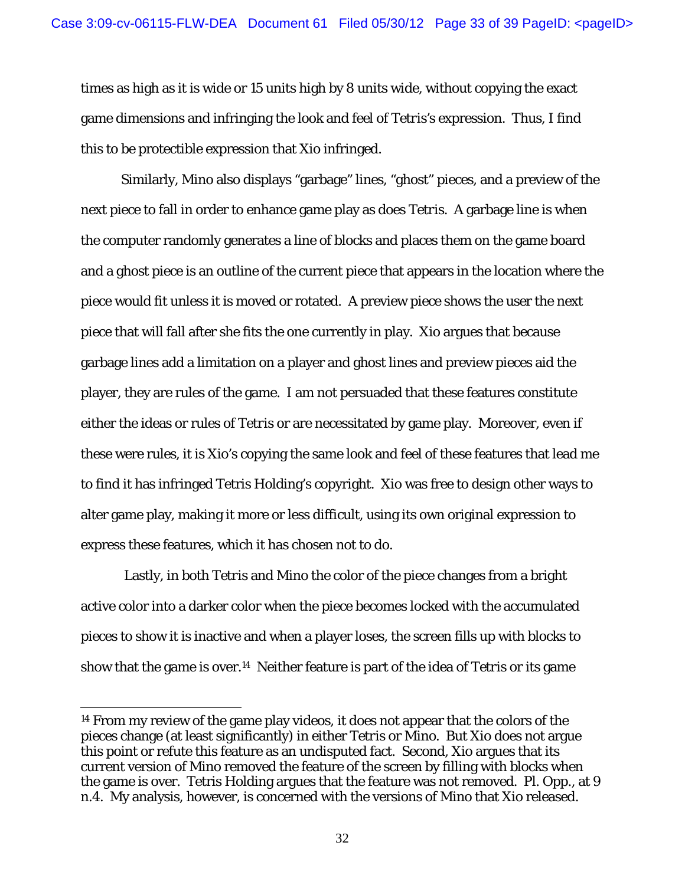times as high as it is wide or 15 units high by 8 units wide, without copying the exact game dimensions and infringing the look and feel of *Tetris's* expression. Thus, I find this to be protectible expression that Xio infringed.

Similarly, *Mino* also displays "garbage" lines, "ghost" pieces, and a preview of the next piece to fall in order to enhance game play as does *Tetris*. A garbage line is when the computer randomly generates a line of blocks and places them on the game board and a ghost piece is an outline of the current piece that appears in the location where the piece would fit unless it is moved or rotated. A preview piece shows the user the next piece that will fall after she fits the one currently in play. Xio argues that because garbage lines add a limitation on a player and ghost lines and preview pieces aid the player, they are rules of the game. I am not persuaded that these features constitute either the ideas or rules of *Tetris* or are necessitated by game play. Moreover, even if these were rules, it is Xio's copying the same look and feel of these features that lead me to find it has infringed Tetris Holding's copyright. Xio was free to design other ways to alter game play, making it more or less difficult, using its own original expression to express these features, which it has chosen not to do.

 Lastly, in both *Tetris* and *Mino* the color of the piece changes from a bright active color into a darker color when the piece becomes locked with the accumulated pieces to show it is inactive and when a player loses, the screen fills up with blocks to show that the game is over.14 Neither feature is part of the idea of *Tetris* or its game

<sup>14</sup> From my review of the game play videos, it does not appear that the colors of the pieces change (at least significantly) in either *Tetris* or *Mino*. But Xio does not argue this point or refute this feature as an undisputed fact. Second, Xio argues that its current version of *Mino* removed the feature of the screen by filling with blocks when the game is over. Tetris Holding argues that the feature was not removed. Pl. Opp., at 9 n.4. My analysis, however, is concerned with the versions of *Mino* that Xio released.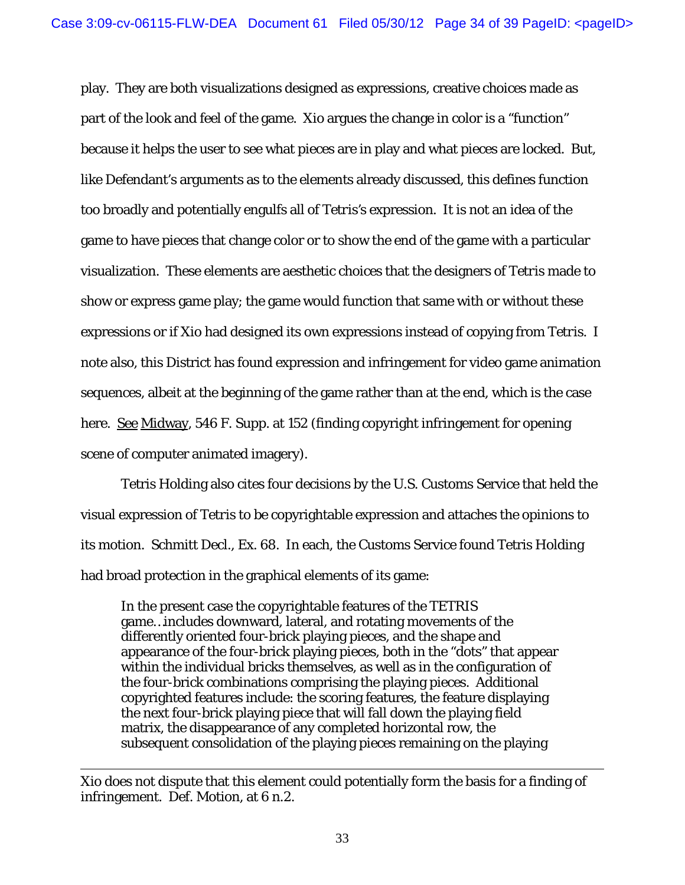play. They are both visualizations designed as expressions, creative choices made as part of the look and feel of the game. Xio argues the change in color is a "function" because it helps the user to see what pieces are in play and what pieces are locked. But, like Defendant's arguments as to the elements already discussed, this defines function too broadly and potentially engulfs all of *Tetris's* expression. It is not an idea of the game to have pieces that change color or to show the end of the game with a particular visualization. These elements are aesthetic choices that the designers of *Tetris* made to show or express game play; the game would function that same with or without these expressions or if Xio had designed its own expressions instead of copying from *Tetris*. I note also, this District has found expression and infringement for video game animation sequences, albeit at the beginning of the game rather than at the end, which is the case here. See Midway, 546 F. Supp. at 152 (finding copyright infringement for opening scene of computer animated imagery).

Tetris Holding also cites four decisions by the U.S. Customs Service that held the visual expression of *Tetris* to be copyrightable expression and attaches the opinions to its motion. Schmitt Decl., Ex. 68. In each, the Customs Service found Tetris Holding had broad protection in the graphical elements of its game:

In the present case the copyrightable features of the TETRIS game…includes downward, lateral, and rotating movements of the differently oriented four-brick playing pieces, and the shape and appearance of the four-brick playing pieces, both in the "dots" that appear within the individual bricks themselves, as well as in the configuration of the four-brick combinations comprising the playing pieces. Additional copyrighted features include: the scoring features, the feature displaying the next four-brick playing piece that will fall down the playing field matrix, the disappearance of any completed horizontal row, the subsequent consolidation of the playing pieces remaining on the playing

 $\overline{a}$ Xio does not dispute that this element could potentially form the basis for a finding of infringement. Def. Motion, at 6 n.2.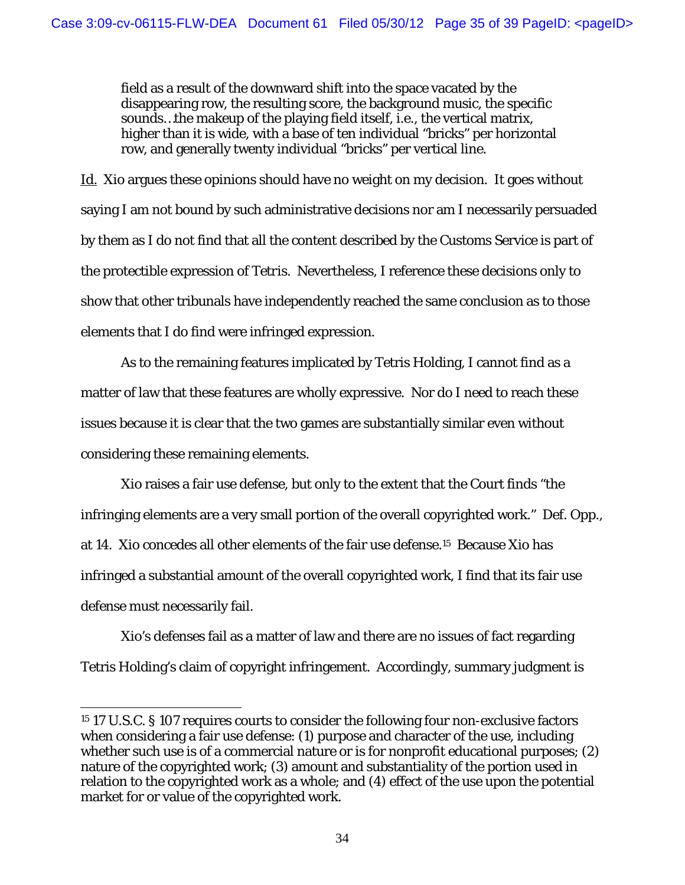field as a result of the downward shift into the space vacated by the disappearing row, the resulting score, the background music, the specific sounds…the makeup of the playing field itself, i.e., the vertical matrix, higher than it is wide, with a base of ten individual "bricks" per horizontal row, and generally twenty individual "bricks" per vertical line.

Id. Xio argues these opinions should have no weight on my decision. It goes without saying I am not bound by such administrative decisions nor am I necessarily persuaded by them as I do not find that all the content described by the Customs Service is part of the protectible expression of *Tetris*. Nevertheless, I reference these decisions only to show that other tribunals have independently reached the same conclusion as to those elements that I do find were infringed expression.

As to the remaining features implicated by Tetris Holding, I cannot find as a matter of law that these features are wholly expressive. Nor do I need to reach these issues because it is clear that the two games are substantially similar even without considering these remaining elements.

Xio raises a fair use defense, but only to the extent that the Court finds "the infringing elements are a very small portion of the overall copyrighted work." Def. Opp., at 14. Xio concedes all other elements of the fair use defense.15 Because Xio has infringed a substantial amount of the overall copyrighted work, I find that its fair use defense must necessarily fail.

Xio's defenses fail as a matter of law and there are no issues of fact regarding Tetris Holding's claim of copyright infringement. Accordingly, summary judgment is

<sup>15 17</sup> U.S.C. § 107 requires courts to consider the following four non-exclusive factors when considering a fair use defense: (1) purpose and character of the use, including whether such use is of a commercial nature or is for nonprofit educational purposes; (2) nature of the copyrighted work; (3) amount and substantiality of the portion used in relation to the copyrighted work as a whole; and (4) effect of the use upon the potential market for or value of the copyrighted work.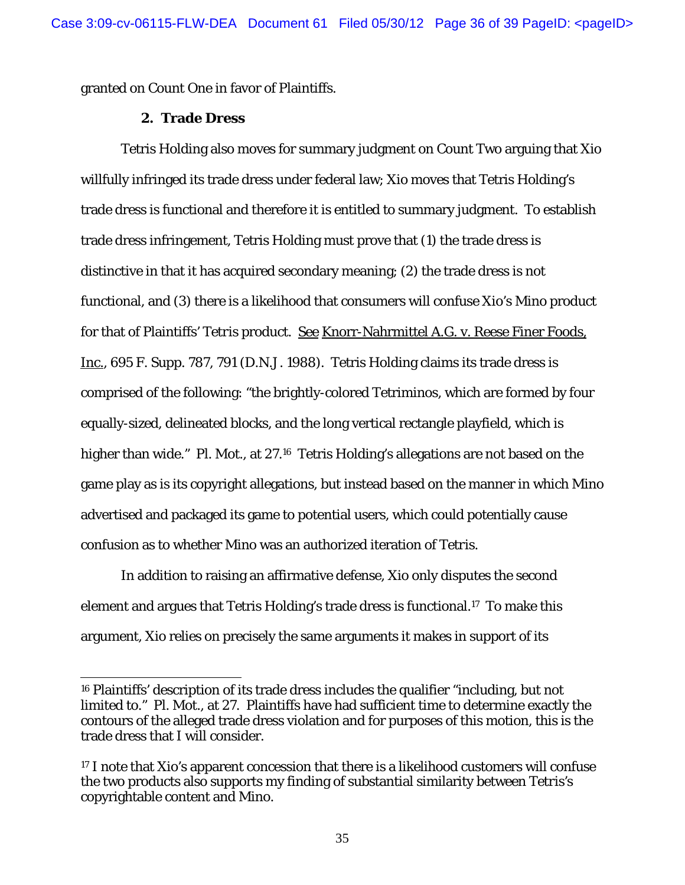granted on Count One in favor of Plaintiffs.

### **2. Trade Dress**

 $\overline{a}$ 

Tetris Holding also moves for summary judgment on Count Two arguing that Xio willfully infringed its trade dress under federal law; Xio moves that Tetris Holding's trade dress is functional and therefore it is entitled to summary judgment. To establish trade dress infringement, Tetris Holding must prove that (1) the trade dress is distinctive in that it has acquired secondary meaning; (2) the trade dress is not functional, and (3) there is a likelihood that consumers will confuse Xio's *Mino* product for that of Plaintiffs' *Tetris* product. See Knorr-Nahrmittel A.G. v. Reese Finer Foods, Inc., 695 F. Supp. 787, 791 (D.N.J. 1988). Tetris Holding claims its trade dress is comprised of the following: "the brightly-colored Tetriminos, which are formed by four equally-sized, delineated blocks, and the long vertical rectangle playfield, which is higher than wide." Pl. Mot., at 27.<sup>16</sup> Tetris Holding's allegations are not based on the game play as is its copyright allegations, but instead based on the manner in which *Mino* advertised and packaged its game to potential users, which could potentially cause confusion as to whether *Mino* was an authorized iteration of *Tetris*.

In addition to raising an affirmative defense, Xio only disputes the second element and argues that Tetris Holding's trade dress is functional.17 To make this argument, Xio relies on precisely the same arguments it makes in support of its

<sup>16</sup> Plaintiffs' description of its trade dress includes the qualifier "including, but not limited to." Pl. Mot., at 27. Plaintiffs have had sufficient time to determine exactly the contours of the alleged trade dress violation and for purposes of this motion, this is the trade dress that I will consider.

<sup>17</sup> I note that Xio's apparent concession that there is a likelihood customers will confuse the two products also supports my finding of substantial similarity between *Tetris's* copyrightable content and *Mino*.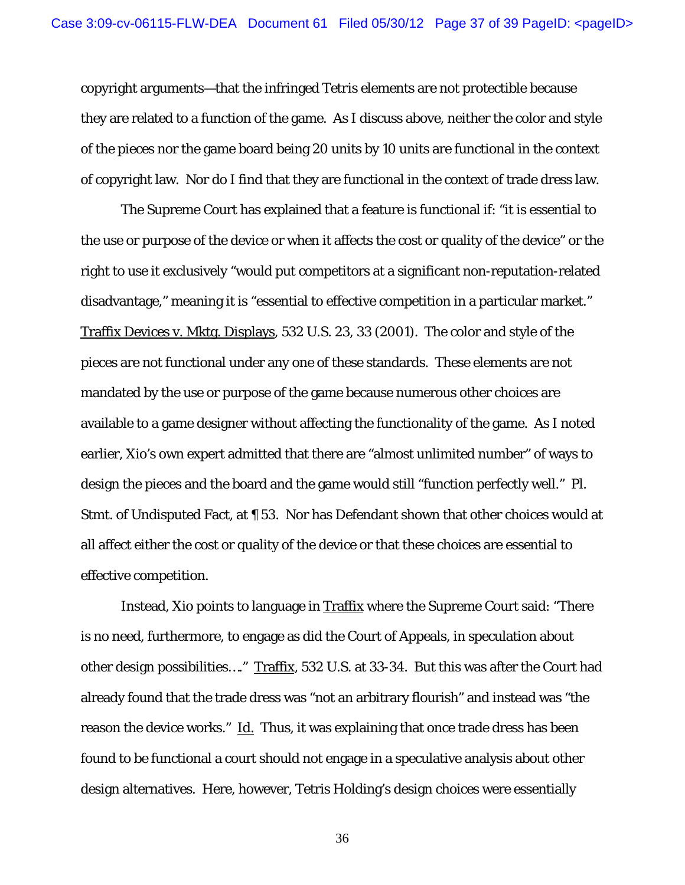copyright arguments—that the infringed *Tetris* elements are not protectible because they are related to a function of the game. As I discuss above, neither the color and style of the pieces nor the game board being 20 units by 10 units are functional in the context of copyright law. Nor do I find that they are functional in the context of trade dress law.

The Supreme Court has explained that a feature is functional if: "it is essential to the use or purpose of the device or when it affects the cost or quality of the device" or the right to use it exclusively "would put competitors at a significant non-reputation-related disadvantage," meaning it is "essential to effective competition in a particular market." Traffix Devices v. Mktg. Displays, 532 U.S. 23, 33 (2001). The color and style of the pieces are not functional under any one of these standards. These elements are not mandated by the use or purpose of the game because numerous other choices are available to a game designer without affecting the functionality of the game. As I noted earlier, Xio's own expert admitted that there are "almost unlimited number" of ways to design the pieces and the board and the game would still "function perfectly well." Pl. Stmt. of Undisputed Fact, at ¶ 53. Nor has Defendant shown that other choices would at all affect either the cost or quality of the device or that these choices are essential to effective competition.

Instead, Xio points to language in Traffix where the Supreme Court said: "There is no need, furthermore, to engage as did the Court of Appeals, in speculation about other design possibilities…." Traffix, 532 U.S. at 33-34. But this was after the Court had already found that the trade dress was "not an arbitrary flourish" and instead was "the reason the device works." Id. Thus, it was explaining that once trade dress has been found to be functional a court should not engage in a speculative analysis about other design alternatives. Here, however, Tetris Holding's design choices were essentially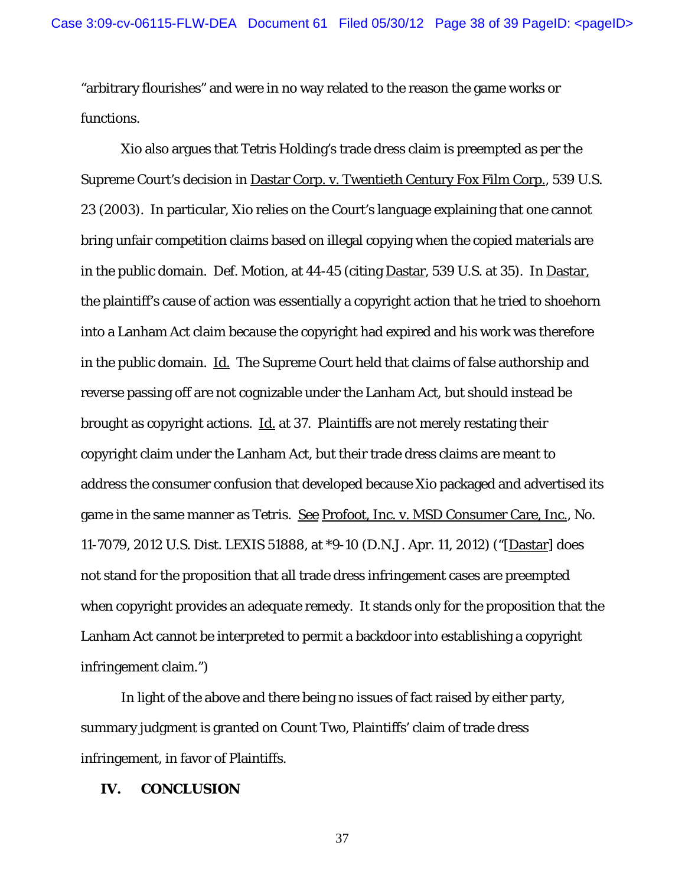"arbitrary flourishes" and were in no way related to the reason the game works or functions.

Xio also argues that Tetris Holding's trade dress claim is preempted as per the Supreme Court's decision in Dastar Corp. v. Twentieth Century Fox Film Corp., 539 U.S. 23 (2003). In particular, Xio relies on the Court's language explaining that one cannot bring unfair competition claims based on illegal copying when the copied materials are in the public domain. Def. Motion, at 44-45 (citing Dastar, 539 U.S. at 35). In Dastar, the plaintiff's cause of action was essentially a copyright action that he tried to shoehorn into a Lanham Act claim because the copyright had expired and his work was therefore in the public domain. Id. The Supreme Court held that claims of false authorship and reverse passing off are not cognizable under the Lanham Act, but should instead be brought as copyright actions. Id. at 37. Plaintiffs are not merely restating their copyright claim under the Lanham Act, but their trade dress claims are meant to address the consumer confusion that developed because *Xio* packaged and advertised its game in the same manner as *Tetris*. See Profoot, Inc. v. MSD Consumer Care, Inc., No. 11-7079, 2012 U.S. Dist. LEXIS 51888, at \*9-10 (D.N.J. Apr. 11, 2012) ("[Dastar] does not stand for the proposition that all trade dress infringement cases are preempted when copyright provides an adequate remedy. It stands only for the proposition that the Lanham Act cannot be interpreted to permit a backdoor into establishing a copyright infringement claim.")

In light of the above and there being no issues of fact raised by either party, summary judgment is granted on Count Two, Plaintiffs' claim of trade dress infringement, in favor of Plaintiffs.

#### **IV. CONCLUSION**